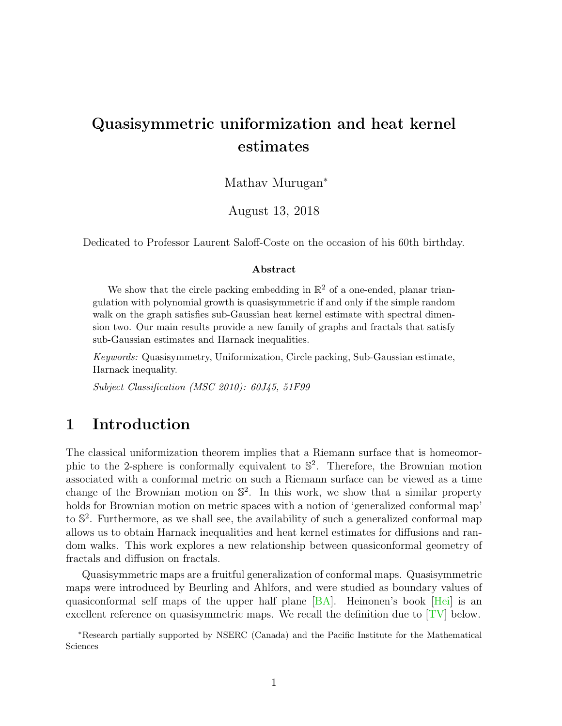# <span id="page-0-0"></span>Quasisymmetric uniformization and heat kernel estimates

Mathav Murugan<sup>∗</sup>

August 13, 2018

Dedicated to Professor Laurent Saloff-Coste on the occasion of his 60th birthday.

#### Abstract

We show that the circle packing embedding in  $\mathbb{R}^2$  of a one-ended, planar triangulation with polynomial growth is quasisymmetric if and only if the simple random walk on the graph satisfies sub-Gaussian heat kernel estimate with spectral dimension two. Our main results provide a new family of graphs and fractals that satisfy sub-Gaussian estimates and Harnack inequalities.

Keywords: Quasisymmetry, Uniformization, Circle packing, Sub-Gaussian estimate, Harnack inequality.

Subject Classification (MSC 2010): 60J45, 51F99

### 1 Introduction

The classical uniformization theorem implies that a Riemann surface that is homeomorphic to the 2-sphere is conformally equivalent to S 2 . Therefore, the Brownian motion associated with a conformal metric on such a Riemann surface can be viewed as a time change of the Brownian motion on S 2 . In this work, we show that a similar property holds for Brownian motion on metric spaces with a notion of 'generalized conformal map' to S 2 . Furthermore, as we shall see, the availability of such a generalized conformal map allows us to obtain Harnack inequalities and heat kernel estimates for diffusions and random walks. This work explores a new relationship between quasiconformal geometry of fractals and diffusion on fractals.

Quasisymmetric maps are a fruitful generalization of conformal maps. Quasisymmetric maps were introduced by Beurling and Ahlfors, and were studied as boundary values of quasiconformal self maps of the upper half plane  $[BA]$ . Heinonen's book  $[Hei]$  is an excellent reference on quasisymmetric maps. We recall the definition due to [\[TV\]](#page-36-0) below.

<sup>∗</sup>Research partially supported by NSERC (Canada) and the Pacific Institute for the Mathematical Sciences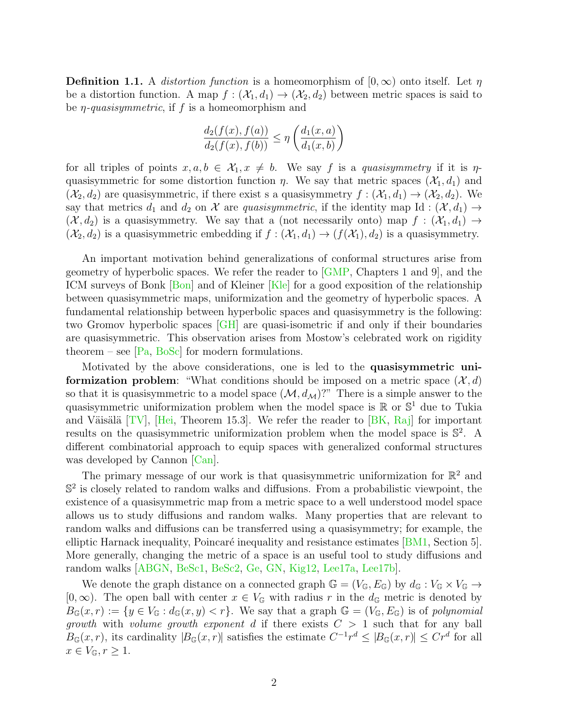**Definition 1.1.** A *distortion function* is a homeomorphism of  $[0, \infty)$  onto itself. Let  $\eta$ be a distortion function. A map  $f : (\mathcal{X}_1, d_1) \to (\mathcal{X}_2, d_2)$  between metric spaces is said to be  $\eta$ -quasisymmetric, if f is a homeomorphism and

$$
\frac{d_2(f(x), f(a))}{d_2(f(x), f(b))} \le \eta \left( \frac{d_1(x, a)}{d_1(x, b)} \right)
$$

for all triples of points  $x, a, b \in \mathcal{X}_1, x \neq b$ . We say f is a quasisymmetry if it is  $\eta$ quasisymmetric for some distortion function  $\eta$ . We say that metric spaces  $(\mathcal{X}_1, d_1)$  and  $(\mathcal{X}_2, d_2)$  are quasisymmetric, if there exist s a quasisymmetry  $f : (\mathcal{X}_1, d_1) \to (\mathcal{X}_2, d_2)$ . We say that metrics  $d_1$  and  $d_2$  on X are quasisymmetric, if the identity map Id :  $(\mathcal{X}, d_1) \rightarrow$  $(\mathcal{X}, d_2)$  is a quasisymmetry. We say that a (not necessarily onto) map  $f : (\mathcal{X}_1, d_1) \rightarrow$  $(\mathcal{X}_2, d_2)$  is a quasisymmetric embedding if  $f : (\mathcal{X}_1, d_1) \to (f(\mathcal{X}_1), d_2)$  is a quasisymmetry.

An important motivation behind generalizations of conformal structures arise from geometry of hyperbolic spaces. We refer the reader to [\[GMP,](#page-34-0) Chapters 1 and 9], and the ICM surveys of Bonk [\[Bon\]](#page-33-1) and of Kleiner [\[Kle\]](#page-35-1) for a good exposition of the relationship between quasisymmetric maps, uniformization and the geometry of hyperbolic spaces. A fundamental relationship between hyperbolic spaces and quasisymmetry is the following: two Gromov hyperbolic spaces [\[GH\]](#page-34-1) are quasi-isometric if and only if their boundaries are quasisymmetric. This observation arises from Mostow's celebrated work on rigidity theorem – see  $|Pa, BoSc|$  for modern formulations.

Motivated by the above considerations, one is led to the **quasisymmetric uniformization problem:** "What conditions should be imposed on a metric space  $(\mathcal{X}, d)$ so that it is quasisymmetric to a model space  $(M, d<sub>M</sub>)$ ?" There is a simple answer to the quasisymmetric uniformization problem when the model space is  $\mathbb{R}$  or  $\mathbb{S}^1$  due to Tukia and Väisälä  $[TV]$ , [\[Hei,](#page-35-0) Theorem 15.3]. We refer the reader to  $[BK, Ra]$  for important results on the quasisymmetric uniformization problem when the model space is  $\mathbb{S}^2$ . A different combinatorial approach to equip spaces with generalized conformal structures was developed by Cannon [\[Can\]](#page-33-4).

The primary message of our work is that quasisymmetric uniformization for  $\mathbb{R}^2$  and  $\mathbb{S}^2$  is closely related to random walks and diffusions. From a probabilistic viewpoint, the existence of a quasisymmetric map from a metric space to a well understood model space allows us to study diffusions and random walks. Many properties that are relevant to random walks and diffusions can be transferred using a quasisymmetry; for example, the elliptic Harnack inequality, Poincaré inequality and resistance estimates  $|B M1$ , Section 5. More generally, changing the metric of a space is an useful tool to study diffusions and random walks [\[ABGN,](#page-32-0) [BeSc1,](#page-33-6) [BeSc2,](#page-33-7) [Ge,](#page-34-2) [GN,](#page-35-2) [Kig12,](#page-35-3) [Lee17a,](#page-36-3) [Lee17b\]](#page-36-4).

We denote the graph distance on a connected graph  $\mathbb{G} = (V_{\mathbb{G}}, E_{\mathbb{G}})$  by  $d_{\mathbb{G}} : V_{\mathbb{G}} \times V_{\mathbb{G}} \to$  $[0,\infty)$ . The open ball with center  $x \in V_{\mathbb{G}}$  with radius r in the  $d_{\mathbb{G}}$  metric is denoted by  $B_{\mathbb{G}}(x,r) := \{y \in V_{\mathbb{G}} : d_{\mathbb{G}}(x,y) < r\}.$  We say that a graph  $\mathbb{G} = (V_{\mathbb{G}}, E_{\mathbb{G}})$  is of polynomial growth with volume growth exponent d if there exists  $C > 1$  such that for any ball  $B_{\mathbb{G}}(x,r)$ , its cardinality  $|B_{\mathbb{G}}(x,r)|$  satisfies the estimate  $C^{-1}r^d \leq |B_{\mathbb{G}}(x,r)| \leq Cr^d$  for all  $x \in V_{\mathbb{G}}, r \geq 1.$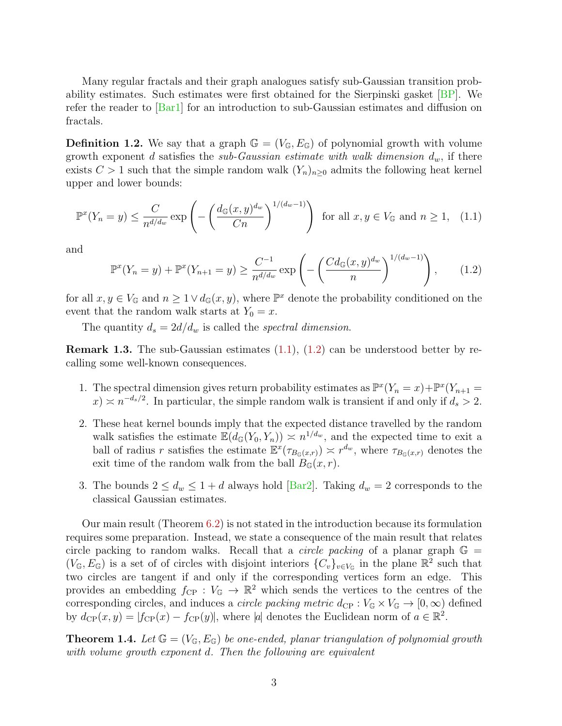Many regular fractals and their graph analogues satisfy sub-Gaussian transition probability estimates. Such estimates were first obtained for the Sierpinski gasket [\[BP\]](#page-33-8). We refer the reader to [\[Bar1\]](#page-32-1) for an introduction to sub-Gaussian estimates and diffusion on fractals.

**Definition 1.2.** We say that a graph  $\mathbb{G} = (V_{\mathbb{G}}, E_{\mathbb{G}})$  of polynomial growth with volume growth exponent d satisfies the sub-Gaussian estimate with walk dimension  $d_w$ , if there exists  $C > 1$  such that the simple random walk  $(Y_n)_{n\geq 0}$  admits the following heat kernel upper and lower bounds:

<span id="page-2-0"></span>
$$
\mathbb{P}^x(Y_n = y) \le \frac{C}{n^{d/d_w}} \exp\left(-\left(\frac{d_{\mathbb{G}}(x, y)^{d_w}}{Cn}\right)^{1/(d_w - 1)}\right) \text{ for all } x, y \in V_{\mathbb{G}} \text{ and } n \ge 1, \tag{1.1}
$$

and

<span id="page-2-1"></span>
$$
\mathbb{P}^x(Y_n = y) + \mathbb{P}^x(Y_{n+1} = y) \ge \frac{C^{-1}}{n^{d/d_w}} \exp\left(-\left(\frac{Cd_{\mathbb{G}}(x, y)^{d_w}}{n}\right)^{1/(d_w - 1)}\right),\tag{1.2}
$$

for all  $x, y \in V_{\mathbb{G}}$  and  $n \geq 1 \vee d_{\mathbb{G}}(x, y)$ , where  $\mathbb{P}^x$  denote the probability conditioned on the event that the random walk starts at  $Y_0 = x$ .

The quantity  $d_s = 2d/d_w$  is called the *spectral dimension*.

**Remark 1.3.** The sub-Gaussian estimates  $(1.1)$ ,  $(1.2)$  can be understood better by recalling some well-known consequences.

- 1. The spectral dimension gives return probability estimates as  $\mathbb{P}^{x}(Y_n = x) + \mathbb{P}^{x}(Y_{n+1} = x)$  $x \geq n^{-d_s/2}$ . In particular, the simple random walk is transient if and only if  $d_s > 2$ .
- 2. These heat kernel bounds imply that the expected distance travelled by the random walk satisfies the estimate  $\mathbb{E}(d_{\mathbb{G}}(Y_0, Y_n)) \asymp n^{1/d_w}$ , and the expected time to exit a ball of radius r satisfies the estimate  $\mathbb{E}^{x}(\tau_{B_{\mathbb{G}}(x,r)}) \asymp r^{d_w}$ , where  $\tau_{B_{\mathbb{G}}(x,r)}$  denotes the exit time of the random walk from the ball  $B_{\mathbb{G}}(x,r)$ .
- 3. The bounds  $2 \le d_w \le 1 + d$  always hold [\[Bar2\]](#page-32-2). Taking  $d_w = 2$  corresponds to the classical Gaussian estimates.

Our main result (Theorem [6.2\)](#page-24-0) is not stated in the introduction because its formulation requires some preparation. Instead, we state a consequence of the main result that relates circle packing to random walks. Recall that a *circle packing* of a planar graph  $\mathbb{G}$  =  $(V_{\mathbb{G}}, E_{\mathbb{G}})$  is a set of of circles with disjoint interiors  $\{C_v\}_{v\in V_{\mathbb{G}}}$  in the plane  $\mathbb{R}^2$  such that two circles are tangent if and only if the corresponding vertices form an edge. This provides an embedding  $f_{\text{CP}} : V_{\mathbb{G}} \to \mathbb{R}^2$  which sends the vertices to the centres of the corresponding circles, and induces a *circle packing metric*  $d_{\text{CP}} : V_{\mathbb{G}} \times V_{\mathbb{G}} \to [0, \infty)$  defined by  $d_{\text{CP}}(x, y) = |f_{\text{CP}}(x) - f_{\text{CP}}(y)|$ , where |a| denotes the Euclidean norm of  $a \in \mathbb{R}^2$ .

<span id="page-2-2"></span>**Theorem 1.4.** Let  $\mathbb{G} = (V_{\mathbb{G}}, E_{\mathbb{G}})$  be one-ended, planar triangulation of polynomial growth with volume growth exponent d. Then the following are equivalent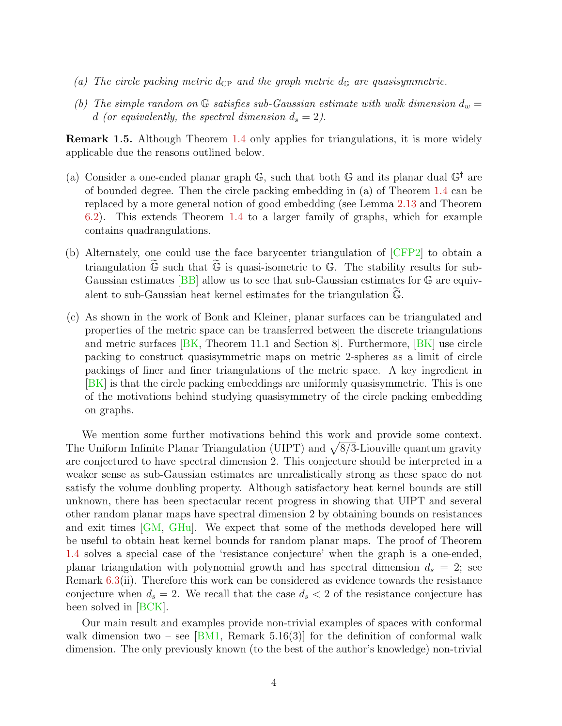- (a) The circle packing metric  $d_{\text{CP}}$  and the graph metric  $d_{\text{G}}$  are quasisymmetric.
- (b) The simple random on G satisfies sub-Gaussian estimate with walk dimension  $d_w =$ d (or equivalently, the spectral dimension  $d_s = 2$ ).

Remark 1.5. Although Theorem [1.4](#page-2-2) only applies for triangulations, it is more widely applicable due the reasons outlined below.

- (a) Consider a one-ended planar graph  $\mathbb{G}$ , such that both  $\mathbb{G}$  and its planar dual  $\mathbb{G}^{\dagger}$  are of bounded degree. Then the circle packing embedding in (a) of Theorem [1.4](#page-2-2) can be replaced by a more general notion of good embedding (see Lemma [2.13](#page-13-0) and Theorem [6.2\)](#page-24-0). This extends Theorem [1.4](#page-2-2) to a larger family of graphs, which for example contains quadrangulations.
- (b) Alternately, one could use the face barycenter triangulation of [\[CFP2\]](#page-34-3) to obtain a triangulation  $\mathbb G$  such that  $\mathbb G$  is quasi-isometric to  $\mathbb G$ . The stability results for sub-Gaussian estimates [\[BB\]](#page-32-3) allow us to see that sub-Gaussian estimates for G are equivalent to sub-Gaussian heat kernel estimates for the triangulation  $\widetilde{\mathbb{G}}$ .
- (c) As shown in the work of Bonk and Kleiner, planar surfaces can be triangulated and properties of the metric space can be transferred between the discrete triangulations and metric surfaces  $[BK,$  Theorem 11.1 and Section 8. Furthermore,  $[BK]$  use circle packing to construct quasisymmetric maps on metric 2-spheres as a limit of circle packings of finer and finer triangulations of the metric space. A key ingredient in [\[BK\]](#page-33-3) is that the circle packing embeddings are uniformly quasisymmetric. This is one of the motivations behind studying quasisymmetry of the circle packing embedding on graphs.

We mention some further motivations behind this work and provide some context. The Uniform Infinite Planar Triangulation (UIPT) and  $\sqrt{8/3}$ -Liouville quantum gravity are conjectured to have spectral dimension 2. This conjecture should be interpreted in a weaker sense as sub-Gaussian estimates are unrealistically strong as these space do not satisfy the volume doubling property. Although satisfactory heat kernel bounds are still unknown, there has been spectacular recent progress in showing that UIPT and several other random planar maps have spectral dimension 2 by obtaining bounds on resistances and exit times [\[GM,](#page-35-4) [GHu\]](#page-35-5). We expect that some of the methods developed here will be useful to obtain heat kernel bounds for random planar maps. The proof of Theorem [1.4](#page-2-2) solves a special case of the 'resistance conjecture' when the graph is a one-ended, planar triangulation with polynomial growth and has spectral dimension  $d_s = 2$ ; see Remark [6.3\(](#page-0-0)ii). Therefore this work can be considered as evidence towards the resistance conjecture when  $d_s = 2$ . We recall that the case  $d_s < 2$  of the resistance conjecture has been solved in [\[BCK\]](#page-32-4).

Our main result and examples provide non-trivial examples of spaces with conformal walk dimension two – see [\[BM1,](#page-33-5) Remark 5.16(3)] for the definition of conformal walk dimension. The only previously known (to the best of the author's knowledge) non-trivial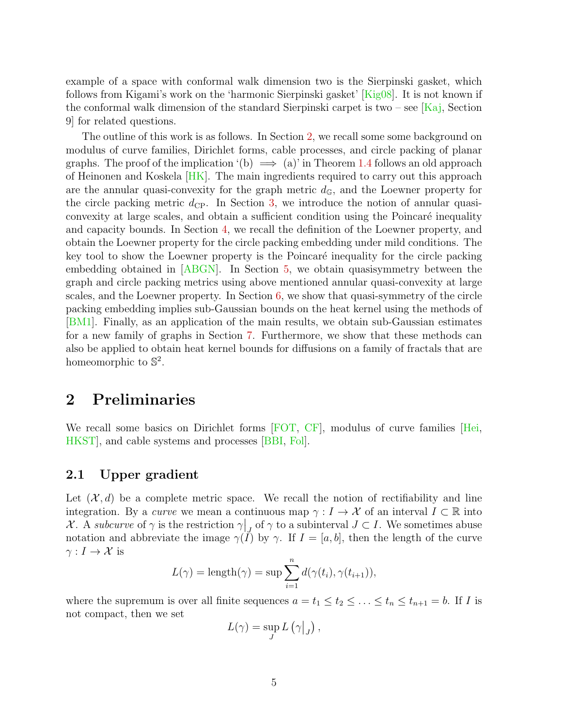example of a space with conformal walk dimension two is the Sierpinski gasket, which follows from Kigami's work on the 'harmonic Sierpinski gasket' [\[Kig08\]](#page-35-6). It is not known if the conformal walk dimension of the standard Sierpinski carpet is two – see [\[Kaj,](#page-35-7) Section 9] for related questions.

The outline of this work is as follows. In Section [2,](#page-4-0) we recall some some background on modulus of curve families, Dirichlet forms, cable processes, and circle packing of planar graphs. The proof of the implication '(b)  $\implies$  (a)' in Theorem [1.4](#page-2-2) follows an old approach of Heinonen and Koskela [\[HK\]](#page-35-8). The main ingredients required to carry out this approach are the annular quasi-convexity for the graph metric  $d_{\mathbb{G}}$ , and the Loewner property for the circle packing metric  $d_{\text{CP}}$ . In Section [3,](#page-13-1) we introduce the notion of annular quasiconvexity at large scales, and obtain a sufficient condition using the Poincaré inequality and capacity bounds. In Section [4,](#page-17-0) we recall the definition of the Loewner property, and obtain the Loewner property for the circle packing embedding under mild conditions. The key tool to show the Loewner property is the Poincaré inequality for the circle packing embedding obtained in [\[ABGN\]](#page-32-0). In Section [5,](#page-22-0) we obtain quasisymmetry between the graph and circle packing metrics using above mentioned annular quasi-convexity at large scales, and the Loewner property. In Section [6,](#page-24-1) we show that quasi-symmetry of the circle packing embedding implies sub-Gaussian bounds on the heat kernel using the methods of [\[BM1\]](#page-33-5). Finally, as an application of the main results, we obtain sub-Gaussian estimates for a new family of graphs in Section [7.](#page-26-0) Furthermore, we show that these methods can also be applied to obtain heat kernel bounds for diffusions on a family of fractals that are homeomorphic to  $\mathbb{S}^2$ .

### <span id="page-4-0"></span>2 Preliminaries

We recall some basics on Dirichlet forms [\[FOT,](#page-34-4) [CF\]](#page-34-5), modulus of curve families [\[Hei,](#page-35-0) [HKST\]](#page-35-9), and cable systems and processes [\[BBI,](#page-33-9) [Fol\]](#page-34-6).

### 2.1 Upper gradient

Let  $(\mathcal{X}, d)$  be a complete metric space. We recall the notion of rectifiability and line integration. By a *curve* we mean a continuous map  $\gamma : I \to \mathcal{X}$  of an interval  $I \subset \mathbb{R}$  into X. A subcurve of  $\gamma$  is the restriction  $\gamma|_{\mathcal{J}}$  of  $\gamma$  to a subinterval  $J \subset I$ . We sometimes abuse notation and abbreviate the image  $\gamma(I)$  by  $\gamma$ . If  $I = [a, b]$ , then the length of the curve  $\gamma: I \to \mathcal{X}$  is

$$
L(\gamma) = \text{length}(\gamma) = \sup \sum_{i=1}^{n} d(\gamma(t_i), \gamma(t_{i+1})),
$$

where the supremum is over all finite sequences  $a = t_1 \le t_2 \le \ldots \le t_n \le t_{n+1} = b$ . If I is not compact, then we set

$$
L(\gamma) = \sup_{J} L(\gamma|_{J}),
$$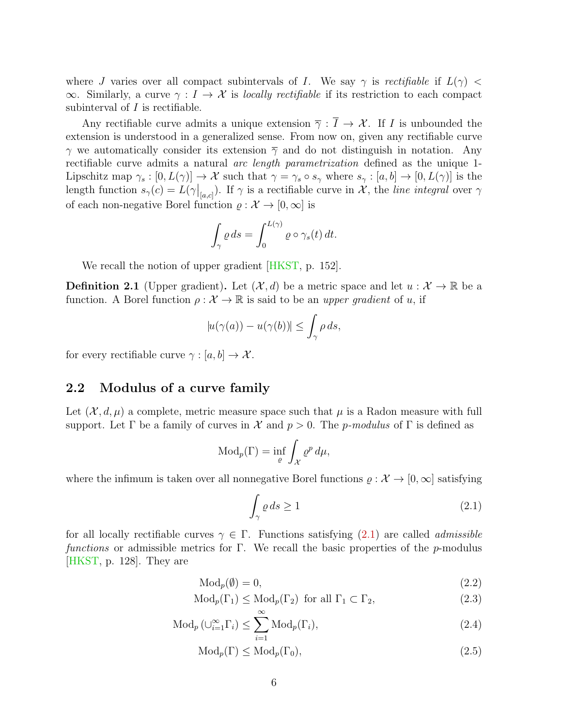where J varies over all compact subintervals of I. We say  $\gamma$  is rectifiable if  $L(\gamma)$  $\infty$ . Similarly, a curve  $\gamma: I \to \mathcal{X}$  is locally rectifiable if its restriction to each compact subinterval of  $I$  is rectifiable.

Any rectifiable curve admits a unique extension  $\overline{\gamma} : \overline{I} \to \mathcal{X}$ . If I is unbounded the extension is understood in a generalized sense. From now on, given any rectifiable curve  $\gamma$  we automatically consider its extension  $\overline{\gamma}$  and do not distinguish in notation. Any rectifiable curve admits a natural *arc length parametrization* defined as the unique 1-Lipschitz map  $\gamma_s : [0, L(\gamma)] \to \mathcal{X}$  such that  $\gamma = \gamma_s \circ s_\gamma$  where  $s_\gamma : [a, b] \to [0, L(\gamma)]$  is the length function  $s_{\gamma}(c) = L(\gamma|_{[a,c]})$ . If  $\gamma$  is a rectifiable curve in  $\mathcal{X}$ , the *line integral* over  $\gamma$ of each non-negative Borel function  $\varrho : \mathcal{X} \to [0, \infty]$  is

$$
\int_{\gamma} \varrho \, ds = \int_0^{L(\gamma)} \varrho \circ \gamma_s(t) \, dt.
$$

We recall the notion of upper gradient [\[HKST,](#page-35-9) p. 152].

<span id="page-5-1"></span>**Definition 2.1** (Upper gradient). Let  $(\mathcal{X}, d)$  be a metric space and let  $u : \mathcal{X} \to \mathbb{R}$  be a function. A Borel function  $\rho : \mathcal{X} \to \mathbb{R}$  is said to be an upper gradient of u, if

$$
|u(\gamma(a)) - u(\gamma(b))| \le \int_{\gamma} \rho \, ds,
$$

for every rectifiable curve  $\gamma : [a, b] \to \mathcal{X}$ .

#### 2.2 Modulus of a curve family

Let  $(X, d, \mu)$  a complete, metric measure space such that  $\mu$  is a Radon measure with full support. Let  $\Gamma$  be a family of curves in  $\mathcal X$  and  $p > 0$ . The p-modulus of  $\Gamma$  is defined as

$$
\text{Mod}_p(\Gamma) = \inf_{\varrho} \int_{\mathcal{X}} \varrho^p \, d\mu,
$$

where the infimum is taken over all nonnegative Borel functions  $\rho : \mathcal{X} \to [0, \infty]$  satisfying

<span id="page-5-4"></span><span id="page-5-3"></span><span id="page-5-2"></span><span id="page-5-0"></span>
$$
\int_{\gamma} \varrho \, ds \ge 1 \tag{2.1}
$$

for all locally rectifiable curves  $\gamma \in \Gamma$ . Functions satisfying [\(2.1\)](#page-5-0) are called *admissible* functions or admissible metrics for Γ. We recall the basic properties of the p-modulus [\[HKST,](#page-35-9) p. 128]. They are

$$
Mod_p(\emptyset) = 0,
$$
\n<sup>(2.2)</sup>

$$
Mod_p(\Gamma_1) \leq Mod_p(\Gamma_2) \text{ for all } \Gamma_1 \subset \Gamma_2,
$$
\n(2.3)

$$
\text{Mod}_p\left(\cup_{i=1}^{\infty}\Gamma_i\right) \le \sum_{i=1}^{\infty} \text{Mod}_p(\Gamma_i),\tag{2.4}
$$

$$
Mod_p(\Gamma) \leq Mod_p(\Gamma_0), \tag{2.5}
$$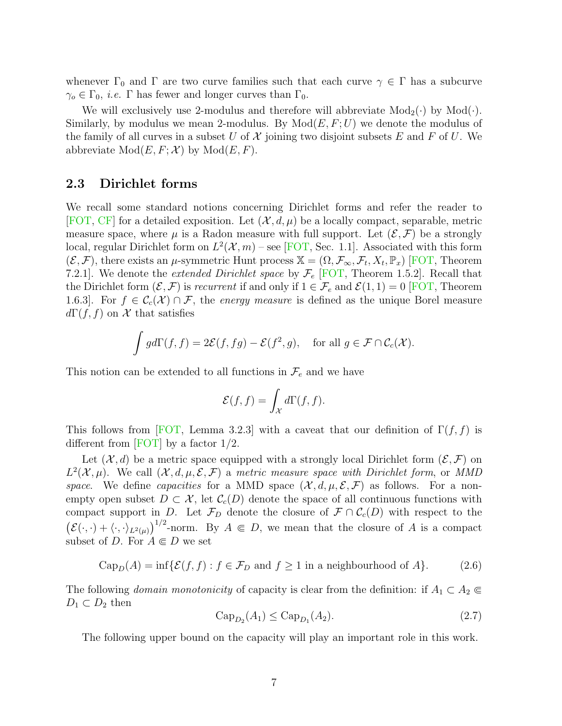whenever  $\Gamma_0$  and  $\Gamma$  are two curve families such that each curve  $\gamma \in \Gamma$  has a subcurve  $\gamma_o \in \Gamma_0$ , *i.e.* Γ has fewer and longer curves than  $\Gamma_0$ .

We will exclusively use 2-modulus and therefore will abbreviate  $Mod_2(\cdot)$  by  $Mod(\cdot)$ . Similarly, by modulus we mean 2-modulus. By  $Mod(E, F; U)$  we denote the modulus of the family of all curves in a subset U of X joining two disjoint subsets E and F of U. We abbreviate  $Mod(E, F; \mathcal{X})$  by  $Mod(E, F)$ .

#### 2.3 Dirichlet forms

We recall some standard notions concerning Dirichlet forms and refer the reader to [\[FOT,](#page-34-4) [CF\]](#page-34-5) for a detailed exposition. Let  $(\mathcal{X}, d, \mu)$  be a locally compact, separable, metric measure space, where  $\mu$  is a Radon measure with full support. Let  $(\mathcal{E}, \mathcal{F})$  be a strongly local, regular Dirichlet form on  $L^2(\mathcal{X}, m)$  – see [\[FOT,](#page-34-4) Sec. 1.1]. Associated with this form  $(\mathcal{E}, \mathcal{F})$ , there exists an  $\mu$ -symmetric Hunt process  $\mathbb{X} = (\Omega, \mathcal{F}_{\infty}, \mathcal{F}_{t}, X_{t}, \mathbb{P}_{x})$  [\[FOT,](#page-34-4) Theorem 7.2.1]. We denote the *extended Dirichlet space* by  $\mathcal{F}_e$  [\[FOT,](#page-34-4) Theorem 1.5.2]. Recall that the Dirichlet form  $(\mathcal{E}, \mathcal{F})$  is recurrent if and only if  $1 \in \mathcal{F}_e$  and  $\mathcal{E}(1, 1) = 0$  [\[FOT,](#page-34-4) Theorem 1.6.3. For  $f \in \mathcal{C}_c(\mathcal{X}) \cap \mathcal{F}$ , the *energy measure* is defined as the unique Borel measure  $d\Gamma(f, f)$  on X that satisfies

$$
\int g d\Gamma(f, f) = 2\mathcal{E}(f, fg) - \mathcal{E}(f^2, g), \quad \text{for all } g \in \mathcal{F} \cap C_c(\mathcal{X}).
$$

This notion can be extended to all functions in  $\mathcal{F}_e$  and we have

$$
\mathcal{E}(f,f) = \int_{\mathcal{X}} d\Gamma(f,f).
$$

This follows from [\[FOT,](#page-34-4) Lemma 3.2.3] with a caveat that our definition of  $\Gamma(f, f)$  is different from [\[FOT\]](#page-34-4) by a factor  $1/2$ .

Let  $(\mathcal{X}, d)$  be a metric space equipped with a strongly local Dirichlet form  $(\mathcal{E}, \mathcal{F})$  on  $L^2(\mathcal{X}, \mu)$ . We call  $(\mathcal{X}, d, \mu, \mathcal{E}, \mathcal{F})$  a metric measure space with Dirichlet form, or MMD space. We define capacities for a MMD space  $(\mathcal{X}, d, \mu, \mathcal{E}, \mathcal{F})$  as follows. For a nonempty open subset  $D \subset \mathcal{X}$ , let  $\mathcal{C}_c(D)$  denote the space of all continuous functions with compact support in D. Let  $\mathcal{F}_D$  denote the closure of  $\mathcal{F} \cap \mathcal{C}_c(D)$  with respect to the  $(\mathcal{E}(\cdot,\cdot)+\langle\cdot,\cdot\rangle_{L^2(\mu)})^{1/2}$ -norm. By  $A \in D$ , we mean that the closure of A is a compact subset of D. For  $A \in D$  we set

$$
\text{Cap}_D(A) = \inf \{ \mathcal{E}(f, f) : f \in \mathcal{F}_D \text{ and } f \ge 1 \text{ in a neighbourhood of } A \}. \tag{2.6}
$$

The following *domain monotonicity* of capacity is clear from the definition: if  $A_1 \subset A_2 \in$  $D_1 \subset D_2$  then

$$
Cap_{D_2}(A_1) \le Cap_{D_1}(A_2). \tag{2.7}
$$

The following upper bound on the capacity will play an important role in this work.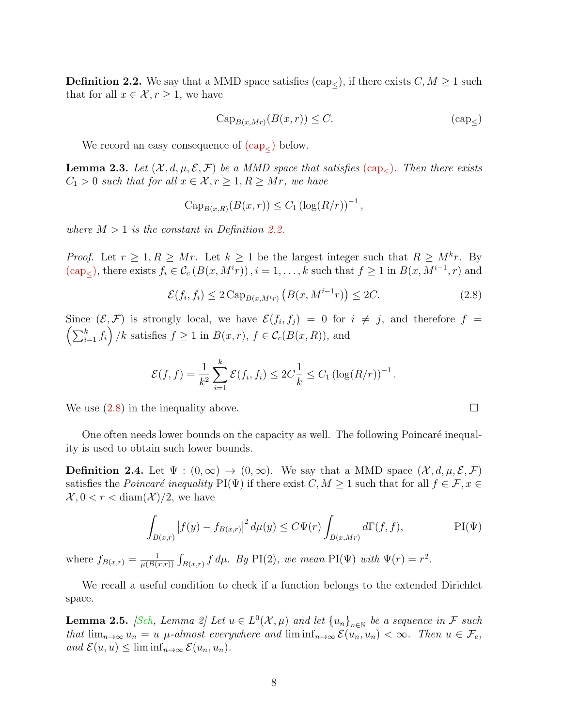<span id="page-7-1"></span>**Definition 2.2.** We say that a MMD space satisfies (cap<sub><</sub>), if there exists  $C, M \geq 1$  such that for all  $x \in \mathcal{X}, r \geq 1$ , we have

<span id="page-7-2"></span><span id="page-7-0"></span>
$$
Cap_{B(x,Mr)}(B(x,r)) \le C. \tag{cap≤}
$$

,

We record an easy consequence of  $(cap<sub><</sub>)$  $(cap<sub><</sub>)$  below.

<span id="page-7-5"></span>**Lemma 2.3.** Let  $(X, d, \mu, \mathcal{E}, \mathcal{F})$  be a MMD space that satisfies [\(cap](#page-7-0)<sub><</sub>). Then there exists  $C_1 > 0$  such that for all  $x \in \mathcal{X}, r \geq 1, R \geq Mr$ , we have

$$
Cap_{B(x,R)}(B(x,r)) \le C_1 (\log(R/r))^{-1}
$$

where  $M > 1$  is the constant in Definition [2.2.](#page-7-1)

*Proof.* Let  $r \geq 1, R \geq Mr$ . Let  $k \geq 1$  be the largest integer such that  $R \geq M^k r$ . By  $(\text{cap}_{\leq}),$  there exists  $f_i \in \mathcal{C}_c(B(x, M^i r))$ ,  $i = 1, ..., k$  such that  $f \geq 1$  in  $B(x, M^{i-1}, r)$  and

$$
\mathcal{E}(f_i, f_i) \le 2 \operatorname{Cap}_{B(x, M^{i_r})} \left( B(x, M^{i-1}r) \right) \le 2C. \tag{2.8}
$$

Since  $(\mathcal{E}, \mathcal{F})$  is strongly local, we have  $\mathcal{E}(f_i, f_j) = 0$  for  $i \neq j$ , and therefore  $f =$  $\left(\sum_{i=1}^k f_i\right)/k$  satisfies  $f \geq 1$  in  $B(x,r)$ ,  $f \in \mathcal{C}_c(B(x,R))$ , and

$$
\mathcal{E}(f, f) = \frac{1}{k^2} \sum_{i=1}^k \mathcal{E}(f_i, f_i) \leq 2C \frac{1}{k} \leq C_1 \left( \log(R/r) \right)^{-1}.
$$

We use  $(2.8)$  in the inequality above.

One often needs lower bounds on the capacity as well. The following Poincaré inequality is used to obtain such lower bounds.

**Definition 2.4.** Let  $\Psi : (0, \infty) \to (0, \infty)$ . We say that a MMD space  $(\mathcal{X}, d, \mu, \mathcal{E}, \mathcal{F})$ satisfies the *Poincaré inequality* PI( $\Psi$ ) if there exist  $C, M \geq 1$  such that for all  $f \in \mathcal{F}, x \in$  $\mathcal{X}, 0 < r < \text{diam}(\mathcal{X})/2$ , we have

<span id="page-7-4"></span>
$$
\int_{B(x,r)} |f(y) - f_{B(x,r)}|^2 d\mu(y) \le C\Psi(r) \int_{B(x,Mr)} d\Gamma(f,f),
$$
 PI(\Psi)

where  $f_{B(x,r)} = \frac{1}{\mu(B)}$  $\frac{1}{\mu(B(x,r))} \int_{B(x,r)} f d\mu$ . By PI(2), we mean PI( $\Psi$ ) with  $\Psi(r) = r^2$ .

We recall a useful condition to check if a function belongs to the extended Dirichlet space.

<span id="page-7-3"></span>**Lemma 2.5.** [\[Sch,](#page-36-5) Lemma 2] Let  $u \in L^0(\mathcal{X}, \mu)$  and let  $\{u_n\}_{n \in \mathbb{N}}$  be a sequence in  $\mathcal F$  such that  $\lim_{n\to\infty}u_n=u$   $\mu$ -almost everywhere and  $\liminf_{n\to\infty}\mathcal{E}(u_n,u_n)<\infty$ . Then  $u\in\mathcal{F}_e$ , and  $\mathcal{E}(u, u) \leq \liminf_{n \to \infty} \mathcal{E}(u_n, u_n)$ .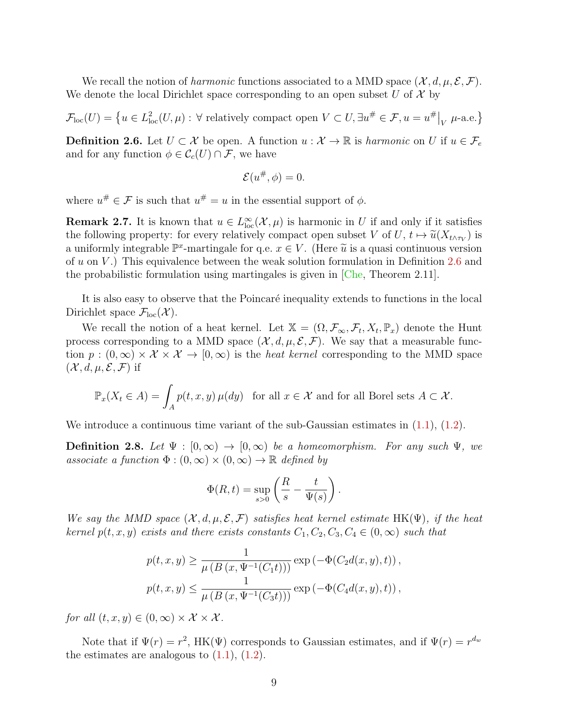We recall the notion of *harmonic* functions associated to a MMD space  $(\mathcal{X}, d, \mu, \mathcal{E}, \mathcal{F})$ . We denote the local Dirichlet space corresponding to an open subset U of  $\mathcal X$  by

 $\mathcal{F}_{\text{loc}}(U) = \left\{ u \in L^2_{\text{loc}}(U, \mu) : \forall \text{ relatively compact open } V \subset U, \exists u^{\#} \in \mathcal{F}, u = u^{\#}\big|_{V} \mu\text{-a.e.}\right\}$ 

<span id="page-8-0"></span>**Definition 2.6.** Let  $U \subset \mathcal{X}$  be open. A function  $u : \mathcal{X} \to \mathbb{R}$  is harmonic on U if  $u \in \mathcal{F}_e$ and for any function  $\phi \in \mathcal{C}_c(U) \cap \mathcal{F}$ , we have

$$
\mathcal{E}(u^{\#}, \phi) = 0.
$$

where  $u^{\#} \in \mathcal{F}$  is such that  $u^{\#} = u$  in the essential support of  $\phi$ .

<span id="page-8-1"></span>**Remark 2.7.** It is known that  $u \in L^{\infty}_{loc}(\mathcal{X}, \mu)$  is harmonic in U if and only if it satisfies the following property: for every relatively compact open subset V of  $U, t \mapsto \tilde{u}(X_{t \wedge \tau_V})$  is<br>a uniformly integrable  $\mathbb{R}^x$  mertingale for  $\tilde{u} \circ \tilde{u} \in X$ . (Here  $\tilde{u}$  is a quasi-continuous version a uniformly integrable  $\mathbb{P}^x$ -martingale for q.e.  $x \in V$ . (Here  $\tilde{u}$  is a quasi continuous version of  $u$  on  $V$ ). This continuous between the weak solution formulation in Definition 2.6 and of u on  $V$ .) This equivalence between the weak solution formulation in Definition [2.6](#page-8-0) and the probabilistic formulation using martingales is given in [\[Che,](#page-34-7) Theorem 2.11].

It is also easy to observe that the Poincaré inequality extends to functions in the local Dirichlet space  $\mathcal{F}_{loc}(\mathcal{X})$ .

We recall the notion of a heat kernel. Let  $\mathbb{X} = (\Omega, \mathcal{F}_{\infty}, \mathcal{F}_t, X_t, \mathbb{P}_x)$  denote the Hunt process corresponding to a MMD space  $(\mathcal{X}, d, \mu, \mathcal{E}, \mathcal{F})$ . We say that a measurable function  $p:(0,\infty)\times\mathcal{X}\times\mathcal{X}\to[0,\infty)$  is the *heat kernel* corresponding to the MMD space  $(\mathcal{X}, d, \mu, \mathcal{E}, \mathcal{F})$  if

$$
\mathbb{P}_x(X_t \in A) = \int_A p(t, x, y) \,\mu(dy) \quad \text{for all } x \in \mathcal{X} \text{ and for all Borel sets } A \subset \mathcal{X}.
$$

We introduce a continuous time variant of the sub-Gaussian estimates in  $(1.1)$ ,  $(1.2)$ .

<span id="page-8-2"></span>**Definition 2.8.** Let  $\Psi : [0, \infty) \to [0, \infty)$  be a homeomorphism. For any such  $\Psi$ , we associate a function  $\Phi : (0, \infty) \times (0, \infty) \to \mathbb{R}$  defined by

$$
\Phi(R,t) = \sup_{s>0} \left( \frac{R}{s} - \frac{t}{\Psi(s)} \right).
$$

We say the MMD space  $(\mathcal{X}, d, \mu, \mathcal{E}, \mathcal{F})$  satisfies heat kernel estimate HK( $\Psi$ ), if the heat kernel  $p(t, x, y)$  exists and there exists constants  $C_1, C_2, C_3, C_4 \in (0, \infty)$  such that

$$
p(t, x, y) \ge \frac{1}{\mu(B(x, \Psi^{-1}(C_1 t)))} \exp(-\Phi(C_2 d(x, y), t)),
$$
  

$$
p(t, x, y) \le \frac{1}{\mu(B(x, \Psi^{-1}(C_3 t)))} \exp(-\Phi(C_4 d(x, y), t)),
$$

for all  $(t, x, y) \in (0, \infty) \times \mathcal{X} \times \mathcal{X}$ .

Note that if  $\Psi(r) = r^2$ , HK( $\Psi$ ) corresponds to Gaussian estimates, and if  $\Psi(r) = r^{d_w}$ the estimates are analogous to  $(1.1)$ ,  $(1.2)$ .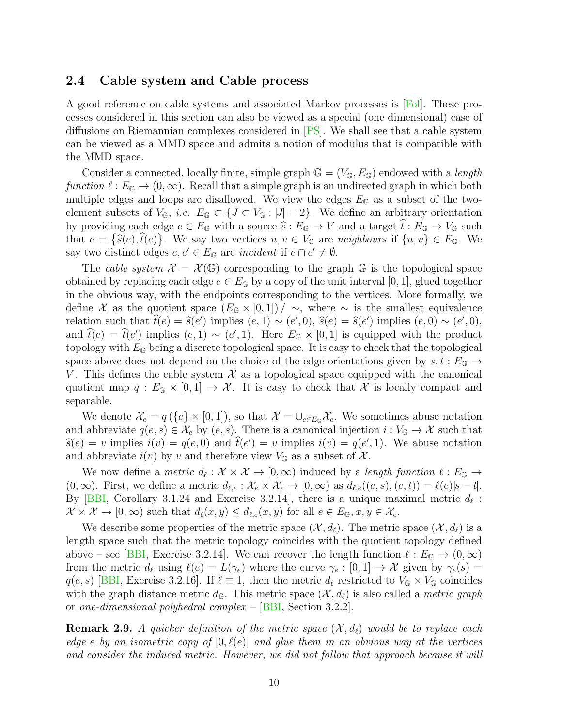#### 2.4 Cable system and Cable process

A good reference on cable systems and associated Markov processes is [\[Fol\]](#page-34-6). These processes considered in this section can also be viewed as a special (one dimensional) case of diffusions on Riemannian complexes considered in [\[PS\]](#page-36-6). We shall see that a cable system can be viewed as a MMD space and admits a notion of modulus that is compatible with the MMD space.

Consider a connected, locally finite, simple graph  $\mathbb{G} = (V_{\mathbb{G}}, E_{\mathbb{G}})$  endowed with a *length* function  $\ell : E_{\mathbb{G}} \to (0,\infty)$ . Recall that a simple graph is an undirected graph in which both multiple edges and loops are disallowed. We view the edges  $E_{\mathbb{G}}$  as a subset of the twoelement subsets of  $V_{\mathbb{G}}$ , *i.e.*  $E_{\mathbb{G}} \subset \{J \subset V_{\mathbb{G}} : |J| = 2\}$ . We define an arbitrary orientation by providing each edge  $e \in E_{\mathbb{G}}$  with a source  $\hat{s} : E_{\mathbb{G}} \to V$  and a target  $\hat{t} : E_{\mathbb{G}} \to V_{\mathbb{G}}$  such that  $e = \{\hat{s}(e), \hat{t}(e)\}\.$  We say two vertices  $u, v \in V_{\mathbb{G}}$  are neighbours if  $\{u, v\} \in E_{\mathbb{G}}$ . We say two distinct edges  $e, e' \in E_{\mathbb{G}}$  are incident if  $e \cap e' \neq \emptyset$ .

The cable system  $\mathcal{X} = \mathcal{X}(\mathbb{G})$  corresponding to the graph G is the topological space obtained by replacing each edge  $e \in E_{\mathbb{G}}$  by a copy of the unit interval [0, 1], glued together in the obvious way, with the endpoints corresponding to the vertices. More formally, we define X as the quotient space  $(E_{\mathbb{G}} \times [0,1]) / \sim$ , where  $\sim$  is the smallest equivalence relation such that  $\hat{t}(e) = \hat{s}(e')$  implies  $(e, 1) \sim (e', 0), \hat{s}(e) = \hat{s}(e')$  implies  $(e, 0) \sim (e', 0),$ <br>and  $\hat{t}(e) = \hat{t}(e')$  implies  $(e, 1) \sim (e', 1)$ . Here  $F_{z} \times [0, 1]$  is equipped with the product and  $\hat{t}(e) = \hat{t}(e')$  implies  $(e, 1) \sim (e', 1)$ . Here  $E_{\mathbb{G}} \times [0, 1]$  is equipped with the product topology with  $E_{\mathbb{G}}$  being a discrete topological space. It is easy to check that the topological space above does not depend on the choice of the edge orientations given by  $s, t : E_{\mathbb{G}} \to$ V. This defines the cable system  $\mathcal X$  as a topological space equipped with the canonical quotient map  $q : E_{\mathbb{G}} \times [0,1] \to \mathcal{X}$ . It is easy to check that X is locally compact and separable.

We denote  $\mathcal{X}_e = q(\lbrace e \rbrace \times [0,1])$ , so that  $\mathcal{X} = \bigcup_{e \in E_G} \mathcal{X}_e$ . We sometimes abuse notation and abbreviate  $q(e, s) \in \mathcal{X}_e$  by  $(e, s)$ . There is a canonical injection  $i: V_{\mathbb{G}} \to \mathcal{X}$  such that  $\widehat{s}(e) = v$  implies  $i(v) = q(e, 0)$  and  $\widehat{t}(e') = v$  implies  $i(v) = q(e', 1)$ . We abuse notation and abbreviate  $i(v)$  by v and therefore view  $V_{\mathbb{G}}$  as a subset of X.

We now define a *metric*  $d_\ell : \mathcal{X} \times \mathcal{X} \to [0, \infty)$  induced by a length function  $\ell : E_{\mathbb{G}} \to$  $(0,\infty)$ . First, we define a metric  $d_{\ell,e} : \mathcal{X}_e \times \mathcal{X}_e \to [0,\infty)$  as  $d_{\ell,e}((e, s), (e, t)) = \ell(e)|s - t|.$ By [\[BBI,](#page-33-9) Corollary 3.1.24 and Exercise 3.2.14], there is a unique maximal metric  $d_{\ell}$ :  $\mathcal{X} \times \mathcal{X} \to [0, \infty)$  such that  $d_{\ell}(x, y) \leq d_{\ell, e}(x, y)$  for all  $e \in E_{\mathbb{G}}, x, y \in \mathcal{X}_{e}$ .

We describe some properties of the metric space  $(\mathcal{X}, d_\ell)$ . The metric space  $(\mathcal{X}, d_\ell)$  is a length space such that the metric topology coincides with the quotient topology defined above – see [\[BBI,](#page-33-9) Exercise 3.2.14]. We can recover the length function  $\ell : E_{\mathbb{G}} \to (0,\infty)$ from the metric  $d_\ell$  using  $\ell(e) = L(\gamma_e)$  where the curve  $\gamma_e : [0, 1] \to \mathcal{X}$  given by  $\gamma_e(s) =$  $q(e, s)$  [\[BBI,](#page-33-9) Exercise 3.2.16]. If  $\ell \equiv 1$ , then the metric  $d_{\ell}$  restricted to  $V_{\mathbb{G}} \times V_{\mathbb{G}}$  coincides with the graph distance metric  $d_{\mathbb{G}}$ . This metric space  $(\mathcal{X}, d_{\ell})$  is also called a metric graph or one-dimensional polyhedral complex – [\[BBI,](#page-33-9) Section 3.2.2].

**Remark 2.9.** A quicker definition of the metric space  $(\mathcal{X}, d_\ell)$  would be to replace each edge e by an isometric copy of  $[0, \ell(e)]$  and glue them in an obvious way at the vertices and consider the induced metric. However, we did not follow that approach because it will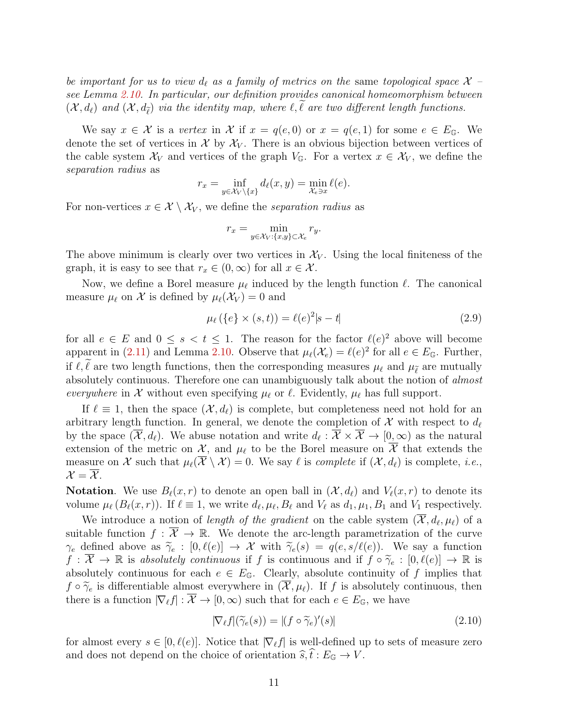be important for us to view  $d_\ell$  as a family of metrics on the same topological space  $\mathcal{X}$  – see Lemma [2.10.](#page-11-0) In particular, our definition provides canonical homeomorphism between  $(\mathcal{X}, d_\ell)$  and  $(\mathcal{X}, d_{\tilde{\ell}})$  via the identity map, where  $\ell, \ell$  are two different length functions.

We say  $x \in \mathcal{X}$  is a vertex in  $\mathcal{X}$  if  $x = q(e, 0)$  or  $x = q(e, 1)$  for some  $e \in E_{\mathbb{G}}$ . We denote the set of vertices in  $\mathcal{X}$  by  $\mathcal{X}_V$ . There is an obvious bijection between vertices of the cable system  $\mathcal{X}_V$  and vertices of the graph  $V_{\mathbb{G}}$ . For a vertex  $x \in \mathcal{X}_V$ , we define the separation radius as

$$
r_x = \inf_{y \in \mathcal{X}_V \backslash \{x\}} d_{\ell}(x, y) = \min_{\mathcal{X}_e \ni x} \ell(e).
$$

For non-vertices  $x \in \mathcal{X} \setminus \mathcal{X}_V$ , we define the separation radius as

$$
r_x = \min_{y \in \mathcal{X}_V: \{x, y\} \subset \mathcal{X}_e} r_y.
$$

The above minimum is clearly over two vertices in  $\mathcal{X}_V$ . Using the local finiteness of the graph, it is easy to see that  $r_x \in (0,\infty)$  for all  $x \in \mathcal{X}$ .

Now, we define a Borel measure  $\mu_{\ell}$  induced by the length function  $\ell$ . The canonical measure  $\mu_{\ell}$  on X is defined by  $\mu_{\ell}(\mathcal{X}_V) = 0$  and

$$
\mu_{\ell}(\{e\} \times (s,t)) = \ell(e)^2 |s-t| \tag{2.9}
$$

for all  $e \in E$  and  $0 \le s < t \le 1$ . The reason for the factor  $\ell(e)^2$  above will become apparent in [\(2.11\)](#page-11-1) and Lemma [2.10.](#page-11-0) Observe that  $\mu_{\ell}(\mathcal{X}_e) = \ell(e)^2$  for all  $e \in E_{\mathbb{G}}$ . Further, if  $\ell, \tilde{\ell}$  are two length functions, then the corresponding measures  $\mu_{\ell}$  and  $\mu_{\tilde{\ell}}$  are mutually absolutely continuous. Therefore one can unambiguously talk about the notion of *almost* everywhere in X without even specifying  $\mu_{\ell}$  or  $\ell$ . Evidently,  $\mu_{\ell}$  has full support.

If  $\ell \equiv 1$ , then the space  $(\mathcal{X}, d_{\ell})$  is complete, but completeness need not hold for an arbitrary length function. In general, we denote the completion of X with respect to  $d_{\ell}$ by the space  $(\overline{\mathcal{X}}, d_\ell)$ . We abuse notation and write  $d_\ell : \overline{\mathcal{X}} \times \overline{\mathcal{X}} \to [0, \infty)$  as the natural extension of the metric on  $\mathcal{X}$ , and  $\mu_{\ell}$  to be the Borel measure on  $\overline{\mathcal{X}}$  that extends the measure on X such that  $\mu_{\ell}(\overline{\mathcal{X}} \setminus \mathcal{X}) = 0$ . We say  $\ell$  is complete if  $(\mathcal{X}, d_{\ell})$  is complete, *i.e.*,  $\mathcal{X}=\overline{\mathcal{X}}$ .

**Notation**. We use  $B_{\ell}(x, r)$  to denote an open ball in  $(\mathcal{X}, d_{\ell})$  and  $V_{\ell}(x, r)$  to denote its volume  $\mu_{\ell}(B_{\ell}(x,r))$ . If  $\ell \equiv 1$ , we write  $d_{\ell}, \mu_{\ell}, B_{\ell}$  and  $V_{\ell}$  as  $d_1, \mu_1, B_1$  and  $V_1$  respectively.

We introduce a notion of length of the gradient on the cable system  $(\overline{\mathcal{X}}, d_\ell, \mu_\ell)$  of a suitable function  $f : \overline{\mathcal{X}} \to \mathbb{R}$ . We denote the arc-length parametrization of the curve  $\gamma_e$  defined above as  $\widetilde{\gamma}_e : [0, \ell(e)] \to \mathcal{X}$  with  $\widetilde{\gamma}_e(s) = q(e, s/\ell(e))$ . We say a function  $f : \overline{\mathcal{X}} \to \mathbb{R}$  is absolutely continuous if f is continuous and if  $f \circ \widetilde{\gamma}_e : [0, \ell(e)] \to \mathbb{R}$  is absolutely continuous for each  $e \in E_{\mathbb{G}}$ . Clearly, absolute continuity of f implies that  $f \circ \widetilde{\gamma}_e$  is differentiable almost everywhere in  $(\overline{\mathcal{X}}, \mu_\ell)$ . If f is absolutely continuous, then there is a function  $|\nabla_{\ell} f| : \overline{\mathcal{X}} \to [0, \infty)$  such that for each  $e \in E_{\mathbb{G}}$ , we have

$$
|\nabla_{\ell} f|(\widetilde{\gamma}_e(s)) = |(f \circ \widetilde{\gamma}_e)'(s)| \tag{2.10}
$$

for almost every  $s \in [0, \ell(e)]$ . Notice that  $|\nabla_{\ell} f|$  is well-defined up to sets of measure zero and does not depend on the choice of orientation  $\widehat{s}, \widehat{t} : E_{\mathbb{G}} \to V$ .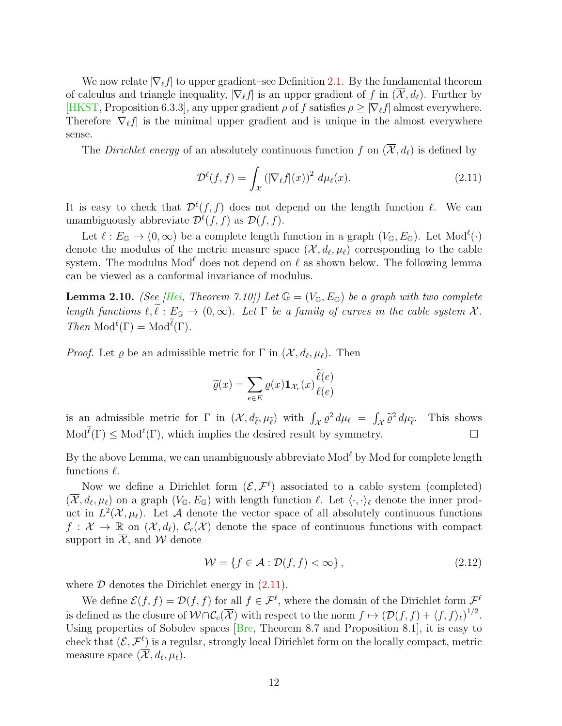We now relate  $|\nabla_\ell f|$  to upper gradient–see Definition [2.1.](#page-5-1) By the fundamental theorem of calculus and triangle inequality,  $|\nabla_{\ell} f|$  is an upper gradient of f in  $(\overline{\mathcal{X}}, d_{\ell})$ . Further by [\[HKST,](#page-35-9) Proposition 6.3.3], any upper gradient  $\rho$  of f satisfies  $\rho \geq |\nabla_{\ell} f|$  almost everywhere. Therefore  $\nabla_{\ell}f$  is the minimal upper gradient and is unique in the almost everywhere sense.

The Dirichlet energy of an absolutely continuous function f on  $(\overline{\mathcal{X}}, d_\ell)$  is defined by

<span id="page-11-1"></span>
$$
\mathcal{D}^{\ell}(f,f) = \int_{\mathcal{X}} \left( \left| \nabla_{\ell} f \right| (x) \right)^2 d\mu_{\ell}(x). \tag{2.11}
$$

It is easy to check that  $\mathcal{D}^{\ell}(f, f)$  does not depend on the length function  $\ell$ . We can unambiguously abbreviate  $\mathcal{D}^{\ell}(f, f)$  as  $\mathcal{D}(f, f)$ .

Let  $\ell : E_{\mathbb{G}} \to (0, \infty)$  be a complete length function in a graph  $(V_{\mathbb{G}}, E_{\mathbb{G}})$ . Let  $Mod^{\ell}(\cdot)$ denote the modulus of the metric measure space  $(\mathcal{X}, d_{\ell}, \mu_{\ell})$  corresponding to the cable system. The modulus Mod<sup> $\ell$ </sup> does not depend on  $\ell$  as shown below. The following lemma can be viewed as a conformal invariance of modulus.

<span id="page-11-0"></span>**Lemma 2.10.** (See [\[Hei,](#page-35-0) Theorem 7.10]) Let  $\mathbb{G} = (V_{\mathbb{G}}, E_{\mathbb{G}})$  be a graph with two complete length functions  $\ell, \tilde{\ell} : E_{\mathbb{G}} \to (0,\infty)$ . Let  $\Gamma$  be a family of curves in the cable system X. Then  $\text{Mod}^{\ell}(\Gamma) = \text{Mod}^{\ell}(\Gamma)$ .

*Proof.* Let  $\varrho$  be an admissible metric for  $\Gamma$  in  $(\mathcal{X}, d_{\ell}, \mu_{\ell})$ . Then

$$
\widetilde{\varrho}(x) = \sum_{e \in E} \varrho(x) \mathbf{1}_{\mathcal{X}_e}(x) \frac{\ell(e)}{\ell(e)}
$$

is an admissible metric for  $\Gamma$  in  $(\mathcal{X}, d_{\tilde{\ell}}, \mu_{\tilde{\ell}})$  with  $\int_{\mathcal{X}} \rho^2 d\mu_{\ell} = \int_{\mathcal{X}} \tilde{\rho}^2 d\mu_{\tilde{\ell}}$ . This shows  $\text{Mod}^{\ell}(\Gamma) \leq \text{Mod}^{\ell}(\Gamma)$ , which implies the desired result by symmetry.

By the above Lemma, we can unambiguously abbreviate  $Mod<sup>\ell</sup>$  by Mod for complete length functions  $\ell$ .

Now we define a Dirichlet form  $(\mathcal{E}, \mathcal{F}^{\ell})$  associated to a cable system (completed)  $(\overline{\mathcal{X}}, d_\ell, \mu_\ell)$  on a graph  $(V_\mathbb{G}, E_\mathbb{G})$  with length function  $\ell$ . Let  $\langle \cdot, \cdot \rangle_\ell$  denote the inner product in  $L^2(\overline{\mathcal{X}}, \mu_\ell)$ . Let A denote the vector space of all absolutely continuous functions  $f : \overline{\mathcal{X}} \to \mathbb{R}$  on  $(\overline{\mathcal{X}}, d_\ell), \mathcal{C}_c(\overline{\mathcal{X}})$  denote the space of continuous functions with compact support in  $\overline{\mathcal{X}}$ , and W denote

<span id="page-11-2"></span>
$$
\mathcal{W} = \{ f \in \mathcal{A} : \mathcal{D}(f, f) < \infty \},\tag{2.12}
$$

where  $D$  denotes the Dirichlet energy in  $(2.11)$ .

We define  $\mathcal{E}(f, f) = \mathcal{D}(f, f)$  for all  $f \in \mathcal{F}^{\ell}$ , where the domain of the Dirichlet form  $\mathcal{F}^{\ell}$ is defined as the closure of  $W \cap C_c(\overline{X})$  with respect to the norm  $f \mapsto (\mathcal{D}(f, f) + \langle f, f \rangle_\ell)^{1/2}$ . Using properties of Sobolev spaces [\[Bre,](#page-33-10) Theorem 8.7 and Proposition 8.1], it is easy to check that  $(\mathcal{E}, \mathcal{F}^{\ell})$  is a regular, strongly local Dirichlet form on the locally compact, metric measure space  $(\mathcal{X}, d_{\ell}, \mu_{\ell}).$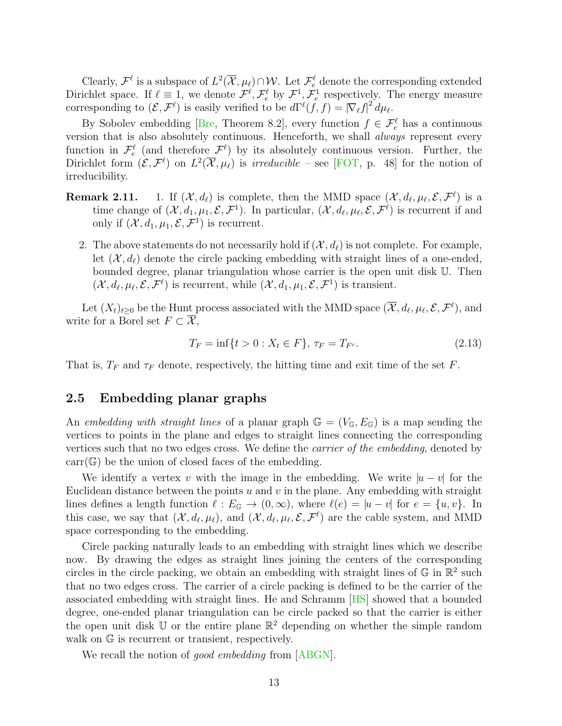Clearly,  $\mathcal{F}^{\ell}$  is a subspace of  $L^2(\overline{\mathcal{X}}, \mu_{\ell}) \cap \mathcal{W}$ . Let  $\mathcal{F}^{\ell}_e$  denote the corresponding extended Dirichlet space. If  $\ell \equiv 1$ , we denote  $\mathcal{F}^{\ell}, \mathcal{F}^{\ell}_e$  by  $\mathcal{F}^1, \mathcal{F}^1_e$  respectively. The energy measure corresponding to  $(\mathcal{E}, \mathcal{F}^{\ell})$  is easily verified to be  $d\Gamma^{\ell}(f, f) = |\nabla_{\ell}f|^{2} d\mu_{\ell}$ .

By Sobolev embedding [\[Bre,](#page-33-10) Theorem 8.2], every function  $f \in \mathcal{F}_e^{\ell}$  has a continuous version that is also absolutely continuous. Henceforth, we shall *always* represent every function in  $\mathcal{F}^{\ell}_{e}$  (and therefore  $\mathcal{F}^{\ell}$ ) by its absolutely continuous version. Further, the Dirichlet form  $(\mathcal{E}, \mathcal{F}^{\ell})$  on  $L^2(\overline{\mathcal{X}}, \mu_{\ell})$  is *irreducible* – see [\[FOT,](#page-34-4) p. 48] for the notion of irreducibility.

- **Remark 2.11.** 1. If  $(\mathcal{X}, d_\ell)$  is complete, then the MMD space  $(\mathcal{X}, d_\ell, \mu_\ell, \mathcal{E}, \mathcal{F}^\ell)$  is a time change of  $(\mathcal{X}, d_1, \mu_1, \mathcal{E}, \mathcal{F}^1)$ . In particular,  $(\mathcal{X}, d_\ell, \mu_\ell, \mathcal{E}, \mathcal{F}^\ell)$  is recurrent if and only if  $(\mathcal{X}, d_1, \mu_1, \mathcal{E}, \mathcal{F}^1)$  is recurrent.
	- 2. The above statements do not necessarily hold if  $(\mathcal{X}, d_\ell)$  is not complete. For example, let  $(\mathcal{X}, d_\ell)$  denote the circle packing embedding with straight lines of a one-ended, bounded degree, planar triangulation whose carrier is the open unit disk U. Then  $(\mathcal{X}, d_{\ell}, \mu_{\ell}, \mathcal{E}, \mathcal{F}^{\ell})$  is recurrent, while  $(\mathcal{X}, d_1, \mu_1, \mathcal{E}, \mathcal{F}^1)$  is transient.

Let  $(X_t)_{t\geq 0}$  be the Hunt process associated with the MMD space  $(\overline{\mathcal{X}}, d_\ell, \mu_\ell, \mathcal{E}, \mathcal{F}^\ell)$ , and write for a Borel set  $F \subset \mathcal{X}$ ,

<span id="page-12-0"></span>
$$
T_F = \inf\{t > 0 : X_t \in F\}, \, \tau_F = T_{F^c}.\tag{2.13}
$$

That is,  $T_F$  and  $\tau_F$  denote, respectively, the hitting time and exit time of the set F.

### 2.5 Embedding planar graphs

An embedding with straight lines of a planar graph  $\mathbb{G} = (V_{\mathbb{G}}, E_{\mathbb{G}})$  is a map sending the vertices to points in the plane and edges to straight lines connecting the corresponding vertices such that no two edges cross. We define the carrier of the embedding, denoted by  $car(\mathbb{G})$  be the union of closed faces of the embedding.

We identify a vertex v with the image in the embedding. We write  $|u - v|$  for the Euclidean distance between the points  $u$  and  $v$  in the plane. Any embedding with straight lines defines a length function  $\ell : E_{\mathbb{G}} \to (0,\infty)$ , where  $\ell(e) = |u - v|$  for  $e = \{u, v\}$ . In this case, we say that  $(\mathcal{X}, d_\ell, \mu_\ell)$ , and  $(\mathcal{X}, d_\ell, \mu_\ell, \mathcal{E}, \mathcal{F}^\ell)$  are the cable system, and MMD space corresponding to the embedding.

Circle packing naturally leads to an embedding with straight lines which we describe now. By drawing the edges as straight lines joining the centers of the corresponding circles in the circle packing, we obtain an embedding with straight lines of  $\mathbb{G}$  in  $\mathbb{R}^2$  such that no two edges cross. The carrier of a circle packing is defined to be the carrier of the associated embedding with straight lines. He and Schramm [\[HS\]](#page-35-10) showed that a bounded degree, one-ended planar triangulation can be circle packed so that the carrier is either the open unit disk  $\mathbb U$  or the entire plane  $\mathbb R^2$  depending on whether the simple random walk on  $\mathbb{G}$  is recurrent or transient, respectively.

We recall the notion of *good embedding* from [\[ABGN\]](#page-32-0).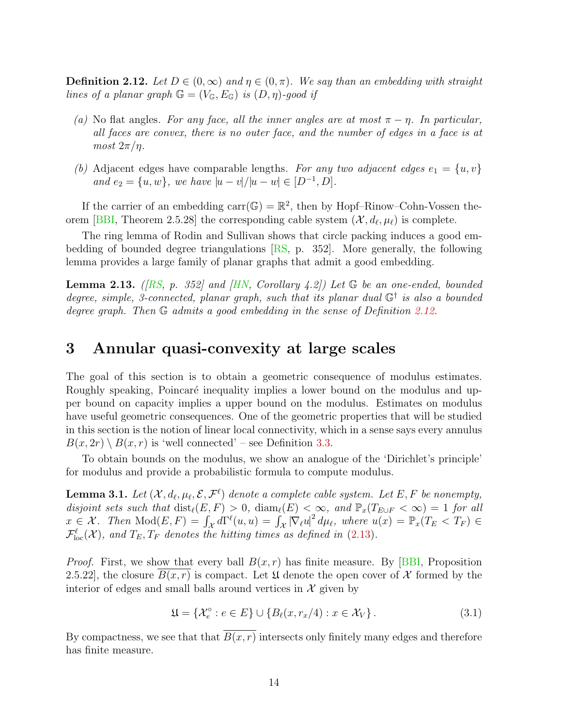<span id="page-13-2"></span>**Definition 2.12.** Let  $D \in (0,\infty)$  and  $\eta \in (0,\pi)$ . We say than an embedding with straight lines of a planar graph  $\mathbb{G} = (V_{\mathbb{G}}, E_{\mathbb{G}})$  is  $(D, \eta)$ -good if

- (a) No flat angles. For any face, all the inner angles are at most  $\pi \eta$ . In particular, all faces are convex, there is no outer face, and the number of edges in a face is at most  $2\pi/\eta$ .
- (b) Adjacent edges have comparable lengths. For any two adjacent edges  $e_1 = \{u, v\}$ and  $e_2 = \{u, w\}$ , we have  $|u - v|/|u - w| \in [D^{-1}, D]$ .

If the carrier of an embedding  $\text{carr}(\mathbb{G}) = \mathbb{R}^2$ , then by Hopf-Rinow-Cohn-Vossen the-orem [\[BBI,](#page-33-9) Theorem 2.5.28] the corresponding cable system  $(\mathcal{X}, d_{\ell}, \mu_{\ell})$  is complete.

The ring lemma of Rodin and Sullivan shows that circle packing induces a good embedding of bounded degree triangulations [\[RS,](#page-36-7) p. 352]. More generally, the following lemma provides a large family of planar graphs that admit a good embedding.

<span id="page-13-0"></span>**Lemma 2.13.** ([\[RS,](#page-36-7) p. 352] and [\[HN,](#page-35-11) Corollary 4.2]) Let  $\mathbb{G}$  be an one-ended, bounded degree, simple, 3-connected, planar graph, such that its planar dual  $\mathbb{G}^{\dagger}$  is also a bounded degree graph. Then G admits a good embedding in the sense of Definition [2.12.](#page-13-2)

### <span id="page-13-1"></span>3 Annular quasi-convexity at large scales

The goal of this section is to obtain a geometric consequence of modulus estimates. Roughly speaking, Poincaré inequality implies a lower bound on the modulus and upper bound on capacity implies a upper bound on the modulus. Estimates on modulus have useful geometric consequences. One of the geometric properties that will be studied in this section is the notion of linear local connectivity, which in a sense says every annulus  $B(x, 2r) \setminus B(x, r)$  is 'well connected' – see Definition [3.3.](#page-16-0)

To obtain bounds on the modulus, we show an analogue of the 'Dirichlet's principle' for modulus and provide a probabilistic formula to compute modulus.

<span id="page-13-4"></span>**Lemma 3.1.** Let  $(\mathcal{X}, d_\ell, \mu_\ell, \mathcal{E}, \mathcal{F}^\ell)$  denote a complete cable system. Let E, F be nonempty, disjoint sets such that  $dist_\ell(E, F) > 0$ ,  $diam_\ell(E) < \infty$ , and  $\mathbb{P}_x(T_{E\cup F} < \infty) = 1$  for all  $x \in \mathcal{X}$ . Then  $\text{Mod}(E, F) = \int_{\mathcal{X}} d\Gamma^{\ell}(u, u) = \int_{\mathcal{X}} |\nabla_{\ell}u|^2 d\mu_{\ell}$ , where  $u(x) = \mathbb{P}_x(T_E < T_F) \in$  $\mathcal{F}^{\ell}_{\text{loc}}(\mathcal{X})$ , and  $T_E, T_F$  denotes the hitting times as defined in [\(2.13\)](#page-12-0).

*Proof.* First, we show that every ball  $B(x, r)$  has finite measure. By [\[BBI,](#page-33-9) Proposition 2.5.22], the closure  $B(x, r)$  is compact. Let  $\mathfrak U$  denote the open cover of X formed by the interior of edges and small balls around vertices in  $\mathcal X$  given by

<span id="page-13-3"></span>
$$
\mathfrak{U} = \{ \mathcal{X}_e^\circ : e \in E \} \cup \{ B_\ell(x, r_x/4) : x \in \mathcal{X}_V \}.
$$
\n
$$
(3.1)
$$

By compactness, we see that that  $\overline{B(x, r)}$  intersects only finitely many edges and therefore has finite measure.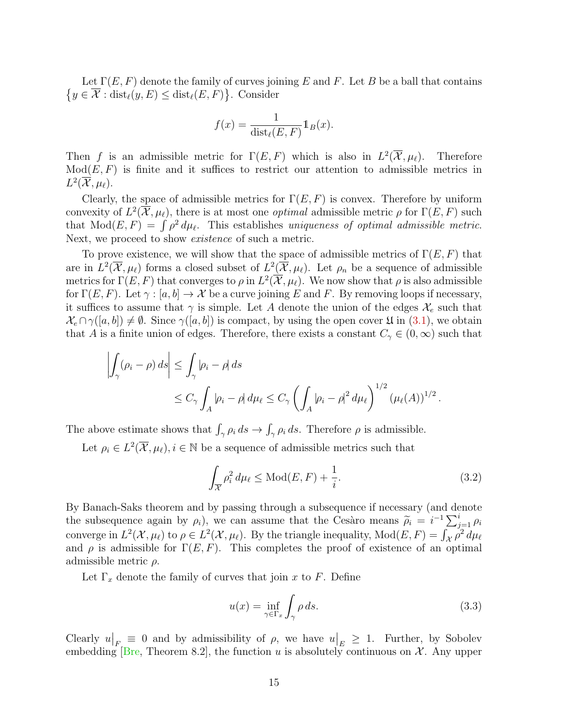Let  $\Gamma(E, F)$  denote the family of curves joining E and F. Let B be a ball that contains  $\{y \in \overline{\mathcal{X}} : \text{dist}_{\ell}(y, E) \leq \text{dist}_{\ell}(E, F)\}.$  Consider

$$
f(x) = \frac{1}{\text{dist}_{\ell}(E, F)} \mathbb{1}_{B}(x).
$$

Then f is an admissible metric for  $\Gamma(E, F)$  which is also in  $L^2$ Therefore  $Mod(E, F)$  is finite and it suffices to restrict our attention to admissible metrics in  $L^2(\overline{\mathcal{X}},\mu_\ell).$ 

Clearly, the space of admissible metrics for  $\Gamma(E, F)$  is convex. Therefore by uniform convexity of  $L^2(\overline{\mathcal{X}}, \mu_\ell)$ , there is at most one *optimal* admissible metric  $\rho$  for  $\Gamma(E, F)$  such that  $Mod(E, F) = \int \rho^2 d\mu_{\ell}$ . This establishes uniqueness of optimal admissible metric. Next, we proceed to show existence of such a metric.

To prove existence, we will show that the space of admissible metrics of  $\Gamma(E, F)$  that are in  $L^2(\overline{\mathcal{X}}, \mu_\ell)$  forms a closed subset of  $L^2(\overline{\mathcal{X}}, \mu_\ell)$ . Let  $\rho_n$  be a sequence of admissible metrics for  $\Gamma(E, F)$  that converges to  $\rho$  in  $L^2(\overline{\mathcal{X}}, \mu_\ell)$ . We now show that  $\rho$  is also admissible for  $\Gamma(E, F)$ . Let  $\gamma : [a, b] \to \mathcal{X}$  be a curve joining E and F. By removing loops if necessary, it suffices to assume that  $\gamma$  is simple. Let A denote the union of the edges  $\mathcal{X}_e$  such that  $\mathcal{X}_{e} \cap \gamma([a, b]) \neq \emptyset$ . Since  $\gamma([a, b])$  is compact, by using the open cover  $\mathfrak{U}$  in [\(3.1\)](#page-13-3), we obtain that A is a finite union of edges. Therefore, there exists a constant  $C_{\gamma} \in (0,\infty)$  such that

$$
\left| \int_{\gamma} (\rho_i - \rho) ds \right| \leq \int_{\gamma} |\rho_i - \rho| ds
$$
  
 
$$
\leq C_{\gamma} \int_A |\rho_i - \rho| d\mu_{\ell} \leq C_{\gamma} \left( \int_A |\rho_i - \rho|^2 d\mu_{\ell} \right)^{1/2} (\mu_{\ell}(A))^{1/2}.
$$

The above estimate shows that  $\int_{\gamma} \rho_i ds \to \int_{\gamma} \rho_i ds$ . Therefore  $\rho$  is admissible.

Let  $\rho_i \in L^2(\overline{\mathcal{X}}, \mu_\ell), i \in \mathbb{N}$  be a sequence of admissible metrics such that

$$
\int_{\overline{\mathcal{X}}} \rho_i^2 \, d\mu_\ell \le \text{Mod}(E, F) + \frac{1}{i}.\tag{3.2}
$$

By Banach-Saks theorem and by passing through a subsequence if necessary (and denote the subsequence again by  $\rho_i$ ), we can assume that the Cesàro means  $\tilde{\rho}_i = i^{-1} \sum_{j=1}^i \rho_i$ converge in  $L^2(\mathcal{X}, \mu_\ell)$  to  $\rho \in L^2(\mathcal{X}, \mu_\ell)$ . By the triangle inequality,  $Mod(E, F) = \int_{\mathcal{X}} \rho^2 d\mu_\ell$ and  $\rho$  is admissible for  $\Gamma(E, F)$ . This completes the proof of existence of an optimal admissible metric  $\rho$ .

Let  $\Gamma_x$  denote the family of curves that join x to F. Define

<span id="page-14-0"></span>
$$
u(x) = \inf_{\gamma \in \Gamma_x} \int_{\gamma} \rho \, ds. \tag{3.3}
$$

Clearly  $u|_{F} \equiv 0$  and by admissibility of  $\rho$ , we have  $u|_{E} \geq 1$ . Further, by Sobolev embedding [\[Bre,](#page-33-10) Theorem 8.2], the function u is absolutely continuous on  $\mathcal{X}$ . Any upper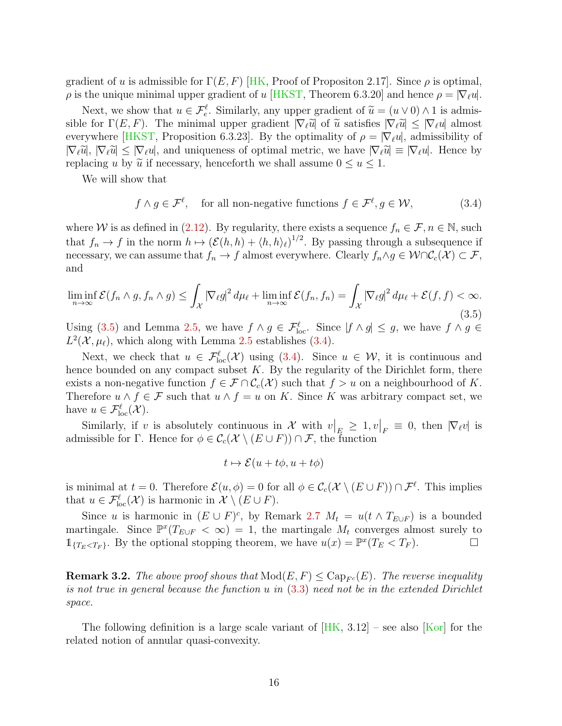gradient of u is admissible for  $\Gamma(E, F)$  [\[HK,](#page-35-8) Proof of Propositon 2.17]. Since  $\rho$  is optimal,  $\rho$  is the unique minimal upper gradient of u [\[HKST,](#page-35-9) Theorem 6.3.20] and hence  $\rho = |\nabla_{\ell}u|.$ 

Next, we show that  $u \in \mathcal{F}_e^{\ell}$ . Similarly, any upper gradient of  $\widetilde{u} = (u \vee 0) \wedge 1$  is admis-<br>e for  $\Gamma(F, F)$ . The minimal upper gradient  $|\nabla \widetilde{u}|$  of  $\widetilde{u}$  satisfies  $|\nabla \widetilde{u}| < |\nabla \widetilde{u}|$  almost sible for  $\Gamma(E, F)$ . The minimal upper gradient  $\nabla_{\ell} \tilde{u}$  of  $\tilde{u}$  satisfies  $\nabla_{\ell} \tilde{u} \leq |\nabla_{\ell} u|$  almost everywhere [\[HKST,](#page-35-9) Proposition 6.3.23]. By the optimality of  $\rho = |\nabla_{\ell}u|$ , admissibility of  $|\nabla_{\ell}\tilde{u}|, |\nabla_{\ell}\tilde{u}| \leq |\nabla_{\ell}u|$ , and uniqueness of optimal metric, we have  $|\nabla_{\ell}\tilde{u}| \equiv |\nabla_{\ell}u|$ . Hence by replacing u by  $\tilde{u}$  if necessary, henceforth we shall assume  $0 \le u \le 1$ .

We will show that

<span id="page-15-1"></span>
$$
f \wedge g \in \mathcal{F}^{\ell}
$$
, for all non-negative functions  $f \in \mathcal{F}^{\ell}, g \in \mathcal{W}$ , (3.4)

where W is as defined in [\(2.12\)](#page-11-2). By regularity, there exists a sequence  $f_n \in \mathcal{F}, n \in \mathbb{N}$ , such that  $f_n \to f$  in the norm  $h \mapsto (\mathcal{E}(h, h) + \langle h, h \rangle_\ell)^{1/2}$ . By passing through a subsequence if necessary, we can assume that  $f_n \to f$  almost everywhere. Clearly  $f_n \wedge g \in \mathcal{W} \cap \mathcal{C}_c(\mathcal{X}) \subset \mathcal{F}$ , and

<span id="page-15-0"></span>
$$
\liminf_{n \to \infty} \mathcal{E}(f_n \wedge g, f_n \wedge g) \le \int_{\mathcal{X}} |\nabla_{\ell} g|^2 d\mu_{\ell} + \liminf_{n \to \infty} \mathcal{E}(f_n, f_n) = \int_{\mathcal{X}} |\nabla_{\ell} g|^2 d\mu_{\ell} + \mathcal{E}(f, f) < \infty.
$$
\n(3.5)

Using [\(3.5\)](#page-15-0) and Lemma [2.5,](#page-7-3) we have  $f \wedge g \in \mathcal{F}_{loc}^{\ell}$ . Since  $|f \wedge g| \leq g$ , we have  $f \wedge g \in$  $L^2(\mathcal{X}, \mu_{\ell})$ , which along with Lemma [2.5](#page-7-3) establishes [\(3.4\)](#page-15-1).

Next, we check that  $u \in \mathcal{F}_{loc}^{\ell}(\mathcal{X})$  using [\(3.4\)](#page-15-1). Since  $u \in \mathcal{W}$ , it is continuous and hence bounded on any compact subset  $K$ . By the regularity of the Dirichlet form, there exists a non-negative function  $f \in \mathcal{F} \cap C_c(\mathcal{X})$  such that  $f > u$  on a neighbourhood of K. Therefore  $u \wedge f \in \mathcal{F}$  such that  $u \wedge f = u$  on K. Since K was arbitrary compact set, we have  $u \in \mathcal{F}_{\text{loc}}^{\ell}(\mathcal{X})$ .

Similarly, if v is absolutely continuous in  $\mathcal X$  with  $v|_E \geq 1, v|_F \equiv 0$ , then  $|\nabla_\ell v|$  is admissible for Γ. Hence for  $\phi \in \mathcal{C}_c(\mathcal{X} \setminus (E \cup F)) \cap \mathcal{F}$ , the function

$$
t \mapsto \mathcal{E}(u + t\phi, u + t\phi)
$$

is minimal at  $t = 0$ . Therefore  $\mathcal{E}(u, \phi) = 0$  for all  $\phi \in \mathcal{C}_c(\mathcal{X} \setminus (E \cup F)) \cap \mathcal{F}^{\ell}$ . This implies that  $u \in \mathcal{F}_{\text{loc}}^{\ell}(\mathcal{X})$  is harmonic in  $\mathcal{X} \setminus (E \cup F)$ .

Since u is harmonic in  $(E \cup F)^c$ , by Remark [2.7](#page-8-1)  $M_t = u(t \wedge T_{E \cup F})$  is a bounded martingale. Since  $\mathbb{P}^x(T_{E\cup F} < \infty) = 1$ , the martingale  $M_t$  converges almost surely to  $1_{\{T_E < T_F\}}$ . By the optional stopping theorem, we have  $u(x) = \mathbb{P}^x(T_E < T_F)$ .

**Remark 3.2.** The above proof shows that  $\text{Mod}(E, F) \leq \text{Cap}_{F^c}(E)$ . The reverse inequality is not true in general because the function u in [\(3.3\)](#page-14-0) need not be in the extended Dirichlet space.

The following definition is a large scale variant of  $|HK, 3.12|$  – see also  $|Kor|$  for the related notion of annular quasi-convexity.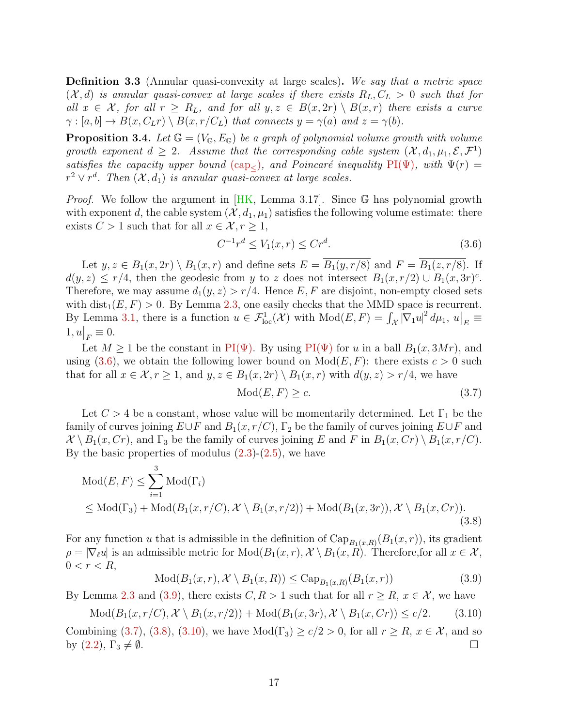<span id="page-16-0"></span>**Definition 3.3** (Annular quasi-convexity at large scales). We say that a metric space  $(X, d)$  is annular quasi-convex at large scales if there exists  $R_L, C_L > 0$  such that for all  $x \in \mathcal{X}$ , for all  $r \ge R_L$ , and for all  $y, z \in B(x, 2r) \setminus B(x, r)$  there exists a curve  $\gamma : [a, b] \to B(x, C_L r) \setminus B(x, r/C_L)$  that connects  $y = \gamma(a)$  and  $z = \gamma(b)$ .

<span id="page-16-6"></span>**Proposition 3.4.** Let  $\mathbb{G} = (V_{\mathbb{G}}, E_{\mathbb{G}})$  be a graph of polynomial volume growth with volume growth exponent  $d \geq 2$ . Assume that the corresponding cable system  $(\mathcal{X}, d_1, \mu_1, \mathcal{E}, \mathcal{F}^1)$ satisfies the capacity upper bound [\(cap](#page-7-0)<sub><</sub>), and Poincaré inequality PI( $\Psi$ ), with  $\Psi(r)$  =  $r^2 \vee r^d$ . Then  $(\mathcal{X}, d_1)$  is annular quasi-convex at large scales.

*Proof.* We follow the argument in  $[HK, Lemma 3.17]$ . Since G has polynomial growth with exponent d, the cable system  $(\mathcal{X}, d_1, \mu_1)$  satisfies the following volume estimate: there exists  $C > 1$  such that for all  $x \in \mathcal{X}, r \geq 1$ ,

<span id="page-16-1"></span>
$$
C^{-1}r^d \le V_1(x,r) \le Cr^d. \tag{3.6}
$$

Let  $y, z \in B_1(x, 2r) \setminus B_1(x, r)$  and define sets  $E = \overline{B_1(y, r/8)}$  and  $F = \overline{B_1(z, r/8)}$ . If  $d(y, z) \leq r/4$ , then the geodesic from y to z does not intersect  $B_1(x, r/2) \cup B_1(x, 3r)^c$ . Therefore, we may assume  $d_1(y, z) > r/4$ . Hence E, F are disjoint, non-empty closed sets with  $dist_1(E, F) > 0$ . By Lemma [2.3,](#page-7-5) one easily checks that the MMD space is recurrent. By Lemma [3.1,](#page-13-4) there is a function  $u \in \mathcal{F}^1_{loc}(\mathcal{X})$  with  $Mod(E, F) = \int_{\mathcal{X}} |\nabla_1 u|^2 d\mu_1$ ,  $u|_E \equiv$  $1, u|_F \equiv 0.$ 

Let  $M \geq 1$  be the constant in  $PI(\Psi)$ . By using  $PI(\Psi)$  for u in a ball  $B_1(x, 3Mr)$ , and using [\(3.6\)](#page-16-1), we obtain the following lower bound on  $Mod(E, F)$ : there exists  $c > 0$  such that for all  $x \in \mathcal{X}, r \geq 1$ , and  $y, z \in B_1(x, 2r) \setminus B_1(x, r)$  with  $d(y, z) > r/4$ , we have

<span id="page-16-4"></span><span id="page-16-3"></span>
$$
Mod(E, F) \ge c. \tag{3.7}
$$

Let  $C > 4$  be a constant, whose value will be momentarily determined. Let  $\Gamma_1$  be the family of curves joining  $E \cup F$  and  $B_1(x, r/C)$ ,  $\Gamma_2$  be the family of curves joining  $E \cup F$  and  $\mathcal{X} \setminus B_1(x, Cr)$ , and  $\Gamma_3$  be the family of curves joining E and F in  $B_1(x, Cr) \setminus B_1(x, r/C)$ . By the basic properties of modulus  $(2.3)-(2.5)$  $(2.3)-(2.5)$ , we have

$$
Mod(E, F) \le \sum_{i=1}^{3} Mod(\Gamma_{i})
$$
  
\n
$$
\le Mod(\Gamma_{3}) + Mod(B_{1}(x, r/C), \mathcal{X} \setminus B_{1}(x, r/2)) + Mod(B_{1}(x, 3r)), \mathcal{X} \setminus B_{1}(x, Cr)).
$$
\n(3.8)

For any function u that is admissible in the definition of  $\text{Cap}_{B_1(x,R)}(B_1(x,r))$ , its gradient  $\rho = \nabla_{\ell} u$  is an admissible metric for  $Mod(B_1(x, r), \mathcal{X} \setminus B_1(x, R)$ . Therefore, for all  $x \in \mathcal{X}$ ,  $0 < r < R$ ,

<span id="page-16-2"></span>
$$
Mod(B_1(x,r), \mathcal{X} \setminus B_1(x,R)) \leq Cap_{B_1(x,R)}(B_1(x,r))
$$
\n(3.9)

By Lemma [2.3](#page-7-5) and [\(3.9\)](#page-16-2), there exists  $C, R > 1$  such that for all  $r \ge R$ ,  $x \in \mathcal{X}$ , we have

<span id="page-16-5"></span>
$$
Mod(B_1(x, r/C), \mathcal{X} \setminus B_1(x, r/2)) + Mod(B_1(x, 3r), \mathcal{X} \setminus B_1(x, Cr)) \le c/2.
$$
 (3.10)

Combining [\(3.7\)](#page-16-3), [\(3.8\)](#page-16-4), [\(3.10\)](#page-16-5), we have  $Mod(\Gamma_3) \ge c/2 > 0$ , for all  $r \ge R$ ,  $x \in \mathcal{X}$ , and so by  $(2.2)$ ,  $\Gamma_3 \neq \emptyset$ .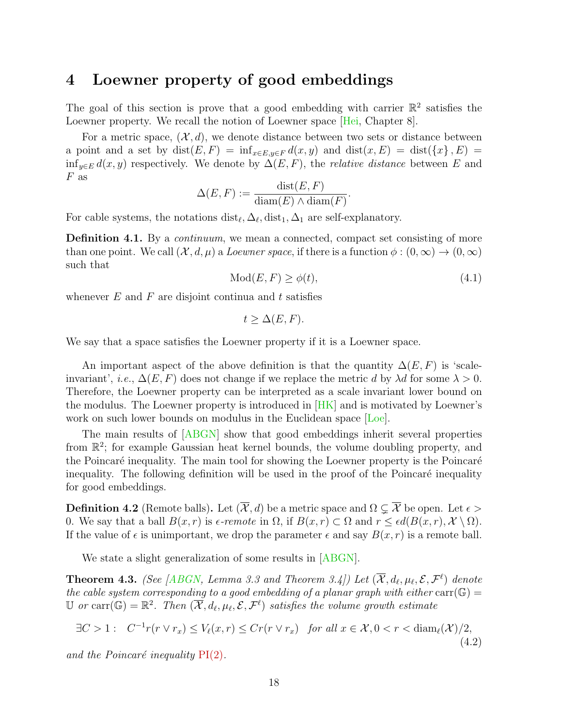### <span id="page-17-0"></span>4 Loewner property of good embeddings

The goal of this section is prove that a good embedding with carrier  $\mathbb{R}^2$  satisfies the Loewner property. We recall the notion of Loewner space [\[Hei,](#page-35-0) Chapter 8].

For a metric space,  $(\mathcal{X}, d)$ , we denote distance between two sets or distance between a point and a set by  $dist(E, F) = inf_{x \in E, y \in F} d(x, y)$  and  $dist(x, E) = dist(\{x\}, E)$ inf<sub>y∈E</sub>  $d(x, y)$  respectively. We denote by  $\Delta(E, F)$ , the *relative distance* between E and  $\cal F$  as

$$
\Delta(E, F) := \frac{\text{dist}(E, F)}{\text{diam}(E) \land \text{diam}(F)}
$$

For cable systems, the notations  $dist_\ell, \Delta_\ell, dist_1, \Delta_1$  are self-explanatory.

**Definition 4.1.** By a *continuum*, we mean a connected, compact set consisting of more than one point. We call  $(\mathcal{X}, d, \mu)$  a *Loewner space*, if there is a function  $\phi : (0, \infty) \to (0, \infty)$ such that

$$
Mod(E, F) \ge \phi(t),\tag{4.1}
$$

.

whenever  $E$  and  $F$  are disjoint continua and  $t$  satisfies

$$
t \geq \Delta(E, F).
$$

We say that a space satisfies the Loewner property if it is a Loewner space.

An important aspect of the above definition is that the quantity  $\Delta(E, F)$  is 'scaleinvariant', *i.e.*,  $\Delta(E, F)$  does not change if we replace the metric d by  $\lambda d$  for some  $\lambda > 0$ . Therefore, the Loewner property can be interpreted as a scale invariant lower bound on the modulus. The Loewner property is introduced in [\[HK\]](#page-35-8) and is motivated by Loewner's work on such lower bounds on modulus in the Euclidean space [\[Loe\]](#page-36-9).

The main results of [\[ABGN\]](#page-32-0) show that good embeddings inherit several properties from  $\mathbb{R}^2$ ; for example Gaussian heat kernel bounds, the volume doubling property, and the Poincaré inequality. The main tool for showing the Loewner property is the Poincaré inequality. The following definition will be used in the proof of the Poincaré inequality for good embeddings.

**Definition 4.2** (Remote balls). Let  $(\overline{\mathcal{X}}, d)$  be a metric space and  $\Omega \subset \overline{\mathcal{X}}$  be open. Let  $\epsilon >$ 0. We say that a ball  $B(x, r)$  is  $\epsilon$ -remote in  $\Omega$ , if  $B(x, r) \subset \Omega$  and  $r \leq \epsilon d(B(x, r), \mathcal{X} \setminus \Omega)$ . If the value of  $\epsilon$  is unimportant, we drop the parameter  $\epsilon$  and say  $B(x, r)$  is a remote ball.

We state a slight generalization of some results in [\[ABGN\]](#page-32-0).

<span id="page-17-2"></span>**Theorem 4.3.** (See [\[ABGN,](#page-32-0) Lemma 3.3 and Theorem 3.4]) Let  $(\overline{\mathcal{X}}, d_\ell, \mu_\ell, \mathcal{E}, \mathcal{F}^\ell)$  denote the cable system corresponding to a good embedding of a planar graph with either carr( $\mathbb{G}$ ) = U or carr( $\mathbb{G}$ ) =  $\mathbb{R}^2$ . Then  $(\overline{\mathcal{X}}, d_{\ell}, \mu_{\ell}, \mathcal{E}, \mathcal{F}^{\ell})$  satisfies the volume growth estimate

<span id="page-17-1"></span>
$$
\exists C > 1: \quad C^{-1}r(r \vee r_x) \le V_{\ell}(x, r) \le Cr(r \vee r_x) \quad \text{for all } x \in \mathcal{X}, 0 < r < \text{diam}_{\ell}(\mathcal{X})/2,\tag{4.2}
$$

and the Poincaré inequality  $PI(2)$ .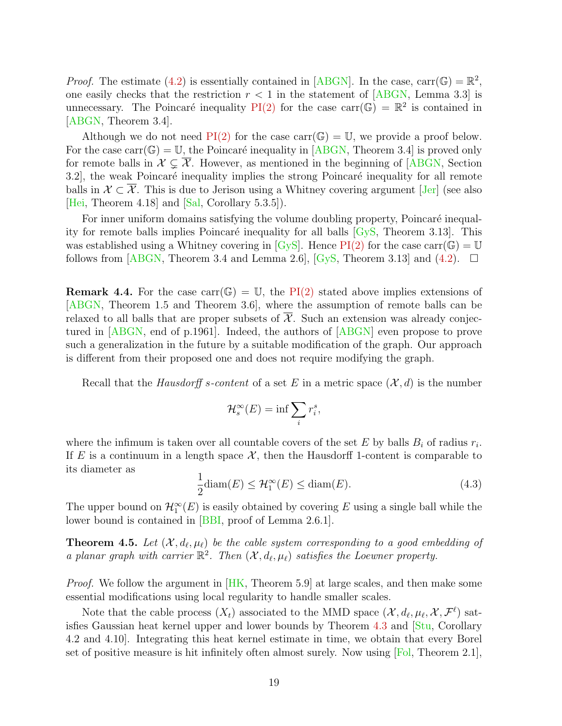*Proof.* The estimate [\(4.2\)](#page-17-1) is essentially contained in [\[ABGN\]](#page-32-0). In the case, carr( $\mathbb{G}$ ) =  $\mathbb{R}^2$ , one easily checks that the restriction  $r < 1$  in the statement of [\[ABGN,](#page-32-0) Lemma 3.3] is unnecessary. The Poincaré inequality  $PI(2)$  for the case carr( $\mathbb{G}$ ) =  $\mathbb{R}^2$  is contained in [\[ABGN,](#page-32-0) Theorem 3.4].

Although we do not need  $P(I(2))$  for the case carr( $\mathbb{G}$ ) = U, we provide a proof below. For the case carr( $\mathbb{G}$ ) = U, the Poincaré inequality in [\[ABGN,](#page-32-0) Theorem 3.4] is proved only for remote balls in  $\mathcal{X} \subsetneq \overline{\mathcal{X}}$ . However, as mentioned in the beginning of [\[ABGN,](#page-32-0) Section 3.2], the weak Poincaré inequality implies the strong Poincaré inequality for all remote balls in  $\mathcal{X} \subset \overline{\mathcal{X}}$ . This is due to Jerison using a Whitney covering argument [\[Jer\]](#page-35-12) (see also [\[Hei,](#page-35-0) Theorem 4.18] and [\[Sal,](#page-36-10) Corollary 5.3.5]).

For inner uniform domains satisfying the volume doubling property, Poincaré inequality for remote balls implies Poincaré inequality for all balls  $[G<sub>Y</sub>S, Theorem 3.13]$ . This was established using a Whitney covering in [\[GyS\]](#page-35-13). Hence [PI\(2\)](#page-7-4) for the case carr( $\mathbb{G}$ ) = U follows from [\[ABGN,](#page-32-0) Theorem 3.4 and Lemma 2.6], [\[GyS,](#page-35-13) Theorem 3.13] and [\(4.2\)](#page-17-1).  $\square$ 

**Remark 4.4.** For the case carr( $\mathbb{G}$ ) = U, the [PI\(2\)](#page-7-4) stated above implies extensions of [\[ABGN,](#page-32-0) Theorem 1.5 and Theorem 3.6], where the assumption of remote balls can be relaxed to all balls that are proper subsets of  $\overline{\mathcal{X}}$ . Such an extension was already conjectured in [\[ABGN,](#page-32-0) end of p.1961]. Indeed, the authors of [\[ABGN\]](#page-32-0) even propose to prove such a generalization in the future by a suitable modification of the graph. Our approach is different from their proposed one and does not require modifying the graph.

Recall that the *Hausdorff s-content* of a set E in a metric space  $(\mathcal{X}, d)$  is the number

$$
\mathcal{H}_s^{\infty}(E) = \inf \sum_i r_i^s,
$$

where the infimum is taken over all countable covers of the set  $E$  by balls  $B_i$  of radius  $r_i$ . If E is a continuum in a length space  $\mathcal{X}$ , then the Hausdorff 1-content is comparable to its diameter as

<span id="page-18-0"></span>
$$
\frac{1}{2}\text{diam}(E) \le \mathcal{H}_1^{\infty}(E) \le \text{diam}(E). \tag{4.3}
$$

The upper bound on  $\mathcal{H}_1^{\infty}(E)$  is easily obtained by covering E using a single ball while the lower bound is contained in [\[BBI,](#page-33-9) proof of Lemma 2.6.1].

**Theorem 4.5.** Let  $(\mathcal{X}, d_{\ell}, \mu_{\ell})$  be the cable system corresponding to a good embedding of a planar graph with carrier  $\mathbb{R}^2$ . Then  $(\mathcal{X}, d_\ell, \mu_\ell)$  satisfies the Loewner property.

*Proof.* We follow the argument in [\[HK,](#page-35-8) Theorem 5.9] at large scales, and then make some essential modifications using local regularity to handle smaller scales.

Note that the cable process  $(X_t)$  associated to the MMD space  $(\mathcal{X}, d_\ell, \mu_\ell, \mathcal{X}, \mathcal{F}^\ell)$  satisfies Gaussian heat kernel upper and lower bounds by Theorem [4.3](#page-17-2) and [\[Stu,](#page-36-11) Corollary 4.2 and 4.10]. Integrating this heat kernel estimate in time, we obtain that every Borel set of positive measure is hit infinitely often almost surely. Now using  $[FeI, Theorem 2.1]$ ,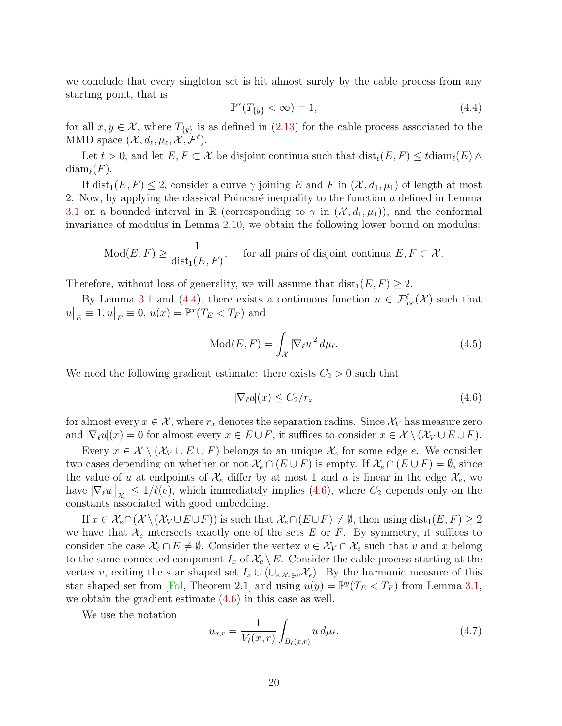we conclude that every singleton set is hit almost surely by the cable process from any starting point, that is

<span id="page-19-0"></span>
$$
\mathbb{P}^x(T_{\{y\}} < \infty) = 1,\tag{4.4}
$$

for all  $x, y \in \mathcal{X}$ , where  $T_{\{y\}}$  is as defined in [\(2.13\)](#page-12-0) for the cable process associated to the MMD space  $(\mathcal{X}, d_{\ell}, \mu_{\ell}, \mathcal{X}, \mathcal{F}^{\ell}).$ 

Let  $t > 0$ , and let  $E, F \subset \mathcal{X}$  be disjoint continua such that  $dist_{\ell}(E, F) \leq t \text{diam}_{\ell}(E) \wedge$  $\text{diam}_{\ell}(F)$ .

If  $dist_1(E, F) \leq 2$ , consider a curve  $\gamma$  joining E and F in  $(\mathcal{X}, d_1, \mu_1)$  of length at most 2. Now, by applying the classical Poincaré inequality to the function  $u$  defined in Lemma [3.1](#page-13-4) on a bounded interval in R (corresponding to  $\gamma$  in  $(\mathcal{X}, d_1, \mu_1)$ ), and the conformal invariance of modulus in Lemma [2.10,](#page-11-0) we obtain the following lower bound on modulus:

$$
Mod(E, F) \ge \frac{1}{dist_1(E, F)}, \quad \text{for all pairs of disjoint continua } E, F \subset \mathcal{X}.
$$

Therefore, without loss of generality, we will assume that  $dist_1(E, F) \geq 2$ .

By Lemma [3.1](#page-13-4) and [\(4.4\)](#page-19-0), there exists a continuous function  $u \in \mathcal{F}^{\ell}_{loc}(\mathcal{X})$  such that  $u|_E \equiv 1, u|_F \equiv 0, u(x) = \mathbb{P}^x(T_E < T_F)$  and

<span id="page-19-2"></span>
$$
Mod(E, F) = \int_{\mathcal{X}} |\nabla_{\ell} u|^2 d\mu_{\ell}.
$$
 (4.5)

We need the following gradient estimate: there exists  $C_2 > 0$  such that

<span id="page-19-1"></span>
$$
|\nabla_{\ell}u|(x) \le C_2/r_x \tag{4.6}
$$

for almost every  $x \in \mathcal{X}$ , where  $r_x$  denotes the separation radius. Since  $\mathcal{X}_V$  has measure zero and  $\nabla_\ell u(x) = 0$  for almost every  $x \in E \cup F$ , it suffices to consider  $x \in \mathcal{X} \setminus (\mathcal{X}_V \cup E \cup F)$ .

Every  $x \in \mathcal{X} \setminus (\mathcal{X}_V \cup E \cup F)$  belongs to an unique  $\mathcal{X}_e$  for some edge e. We consider two cases depending on whether or not  $\mathcal{X}_e \cap (E \cup F)$  is empty. If  $\mathcal{X}_e \cap (E \cup F) = \emptyset$ , since the value of u at endpoints of  $\mathcal{X}_e$  differ by at most 1 and u is linear in the edge  $\mathcal{X}_e$ , we have  $|\nabla_{\ell} u||_{\mathcal{X}_e} \leq 1/\ell(e)$ , which immediately implies  $(4.6)$ , where  $C_2$  depends only on the constants associated with good embedding.

If  $x \in \mathcal{X}_e \cap (\mathcal{X} \setminus (\mathcal{X}_V \cup E \cup F))$  is such that  $\mathcal{X}_e \cap (E \cup F) \neq \emptyset$ , then using dist<sub>1</sub> $(E, F) \geq 2$ we have that  $\mathcal{X}_e$  intersects exactly one of the sets E or F. By symmetry, it suffices to consider the case  $\mathcal{X}_e \cap E \neq \emptyset$ . Consider the vertex  $v \in \mathcal{X}_V \cap \mathcal{X}_e$  such that v and x belong to the same connected component  $I_x$  of  $\mathcal{X}_e \setminus E$ . Consider the cable process starting at the vertex v, exiting the star shaped set  $I_x \cup (\cup_{e:\mathcal{X}_e \ni v} \mathcal{X}_e)$ . By the harmonic measure of this star shaped set from [\[Fol,](#page-34-6) Theorem 2.1] and using  $u(y) = \mathbb{P}^y(T_E < T_F)$  from Lemma [3.1,](#page-13-4) we obtain the gradient estimate [\(4.6\)](#page-19-1) in this case as well.

We use the notation

$$
u_{x,r} = \frac{1}{V_{\ell}(x,r)} \int_{B_{\ell}(x,r)} u \, d\mu_{\ell}.
$$
 (4.7)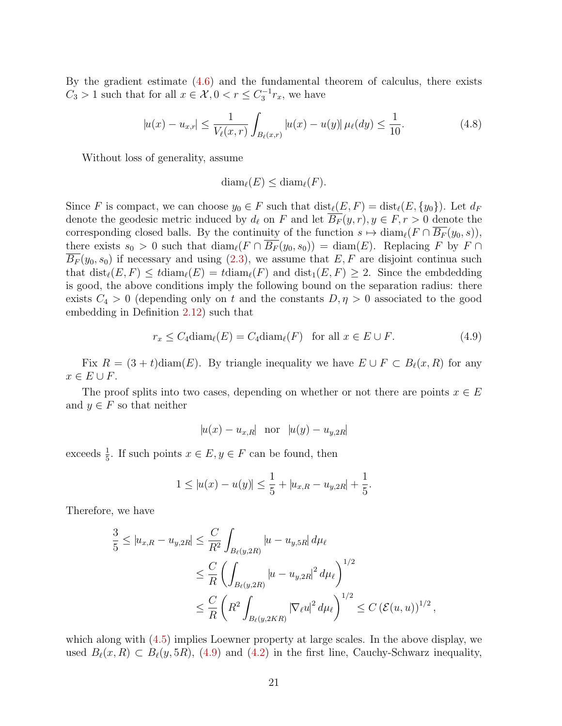By the gradient estimate [\(4.6\)](#page-19-1) and the fundamental theorem of calculus, there exists  $C_3 > 1$  such that for all  $x \in \mathcal{X}, 0 < r \leq C_3^{-1}r_x$ , we have

<span id="page-20-1"></span>
$$
|u(x) - u_{x,r}| \le \frac{1}{V_{\ell}(x,r)} \int_{B_{\ell}(x,r)} |u(x) - u(y)| \, \mu_{\ell}(dy) \le \frac{1}{10}.
$$
 (4.8)

Without loss of generality, assume

$$
\text{diam}_{\ell}(E) \le \text{diam}_{\ell}(F).
$$

Since F is compact, we can choose  $y_0 \in F$  such that  $dist_\ell(E, F) = dist_\ell(E, \{y_0\})$ . Let  $d_F$ denote the geodesic metric induced by  $d_\ell$  on F and let  $\overline{B_F} (y, r), y \in F, r > 0$  denote the corresponding closed balls. By the continuity of the function  $s \mapsto \text{diam}_{\ell}(F \cap \overline{B_F}(y_0, s)),$ there exists  $s_0 > 0$  such that  $\text{diam}_{\ell}(F \cap \overline{B_F}(y_0, s_0)) = \text{diam}(E)$ . Replacing F by  $F \cap$  $B_F(y_0, s_0)$  if necessary and using [\(2.3\)](#page-5-2), we assume that  $E, F$  are disjoint continua such that  $dist_\ell(E, F) \leq t \text{diam}_\ell(E) = t \text{diam}_\ell(F)$  and  $dist_1(E, F) \geq 2$ . Since the embdedding is good, the above conditions imply the following bound on the separation radius: there exists  $C_4 > 0$  (depending only on t and the constants  $D, \eta > 0$  associated to the good embedding in Definition [2.12\)](#page-13-2) such that

<span id="page-20-0"></span>
$$
r_x \le C_4 \operatorname{diam}_{\ell}(E) = C_4 \operatorname{diam}_{\ell}(F) \quad \text{for all } x \in E \cup F. \tag{4.9}
$$

Fix  $R = (3 + t)$ diam(E). By triangle inequality we have  $E \cup F \subset B_{\ell}(x, R)$  for any  $x \in E \cup F$ .

The proof splits into two cases, depending on whether or not there are points  $x \in E$ and  $y \in F$  so that neither

$$
|u(x) - u_{x,R}|
$$
 nor  $|u(y) - u_{y,2R}|$ 

exceeds  $\frac{1}{5}$ . If such points  $x \in E, y \in F$  can be found, then

$$
1 \le |u(x) - u(y)| \le \frac{1}{5} + |u_{x,R} - u_{y,2R}| + \frac{1}{5}.
$$

Therefore, we have

$$
\frac{3}{5} \le |u_{x,R} - u_{y,2R}| \le \frac{C}{R^2} \int_{B_{\ell}(y,2R)} |u - u_{y,5R}| \, d\mu_{\ell}
$$
\n
$$
\le \frac{C}{R} \left( \int_{B_{\ell}(y,2R)} |u - u_{y,2R}|^2 \, d\mu_{\ell} \right)^{1/2}
$$
\n
$$
\le \frac{C}{R} \left( R^2 \int_{B_{\ell}(y,2KR)} |\nabla_{\ell} u|^2 \, d\mu_{\ell} \right)^{1/2} \le C \left( \mathcal{E}(u,u) \right)^{1/2},
$$

which along with [\(4.5\)](#page-19-2) implies Loewner property at large scales. In the above display, we used  $B_{\ell}(x, R) \subset B_{\ell}(y, 5R)$ , [\(4.9\)](#page-20-0) and [\(4.2\)](#page-17-1) in the first line, Cauchy-Schwarz inequality,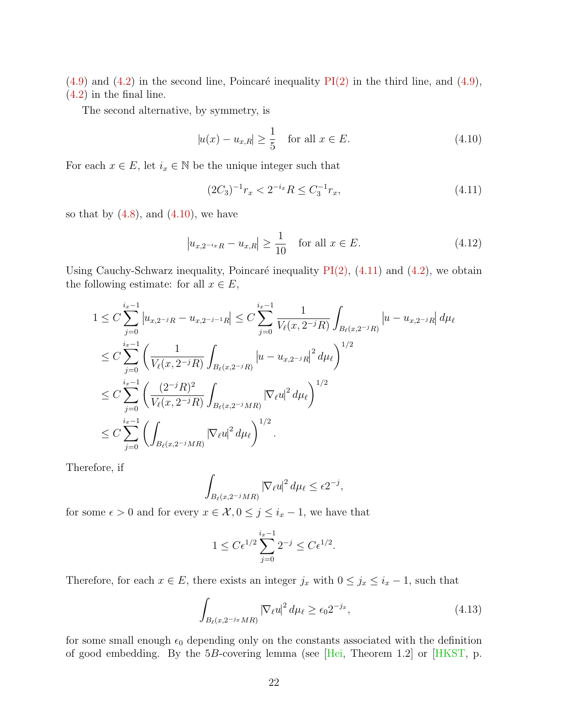$(4.9)$  and  $(4.2)$  in the second line, Poincaré inequality  $PI(2)$  in the third line, and  $(4.9)$ , [\(4.2\)](#page-17-1) in the final line.

The second alternative, by symmetry, is

<span id="page-21-0"></span>
$$
|u(x) - u_{x,R}| \ge \frac{1}{5} \quad \text{for all } x \in E. \tag{4.10}
$$

For each  $x \in E$ , let  $i_x \in \mathbb{N}$  be the unique integer such that

<span id="page-21-1"></span>
$$
(2C_3)^{-1}r_x < 2^{-i_x}R \le C_3^{-1}r_x,\tag{4.11}
$$

so that by  $(4.8)$ , and  $(4.10)$ , we have

$$
|u_{x,2^{-i}x} - u_{x,R}| \ge \frac{1}{10} \quad \text{for all } x \in E.
$$
 (4.12)

Using Cauchy-Schwarz inequality, Poincaré inequality  $PI(2)$ ,  $(4.11)$  and  $(4.2)$ , we obtain the following estimate: for all  $x \in E$ ,

$$
1 \leq C \sum_{j=0}^{i_x - 1} |u_{x,2^{-j}R} - u_{x,2^{-j-1}R}| \leq C \sum_{j=0}^{i_x - 1} \frac{1}{V_{\ell}(x,2^{-j}R)} \int_{B_{\ell}(x,2^{-j}R)} |u - u_{x,2^{-j}R}| d\mu_{\ell}
$$
  
\n
$$
\leq C \sum_{j=0}^{i_x - 1} \left( \frac{1}{V_{\ell}(x,2^{-j}R)} \int_{B_{\ell}(x,2^{-j}R)} |u - u_{x,2^{-j}R}|^2 d\mu_{\ell} \right)^{1/2}
$$
  
\n
$$
\leq C \sum_{j=0}^{i_x - 1} \left( \frac{(2^{-j}R)^2}{V_{\ell}(x,2^{-j}R)} \int_{B_{\ell}(x,2^{-j}MR)} |\nabla_{\ell} u|^2 d\mu_{\ell} \right)^{1/2}
$$
  
\n
$$
\leq C \sum_{j=0}^{i_x - 1} \left( \int_{B_{\ell}(x,2^{-j}MR)} |\nabla_{\ell} u|^2 d\mu_{\ell} \right)^{1/2}.
$$

Therefore, if

$$
\int_{B_{\ell}(x,2^{-j}MR)} |\nabla_{\ell}u|^2 d\mu_{\ell} \leq \epsilon 2^{-j},
$$

for some  $\epsilon > 0$  and for every  $x \in \mathcal{X}, 0 \leq j \leq i_x - 1$ , we have that

$$
1 \leq C \epsilon^{1/2} \sum_{j=0}^{i_x-1} 2^{-j} \leq C \epsilon^{1/2}.
$$

Therefore, for each  $x \in E$ , there exists an integer  $j_x$  with  $0 \le j_x \le i_x - 1$ , such that

<span id="page-21-2"></span>
$$
\int_{B_{\ell}(x,2^{-jx}MR)} |\nabla_{\ell}u|^2 d\mu_{\ell} \ge \epsilon_0 2^{-jx},\tag{4.13}
$$

for some small enough  $\epsilon_0$  depending only on the constants associated with the definition of good embedding. By the  $5B$ -covering lemma (see [\[Hei,](#page-35-0) Theorem 1.2] or [\[HKST,](#page-35-9) p.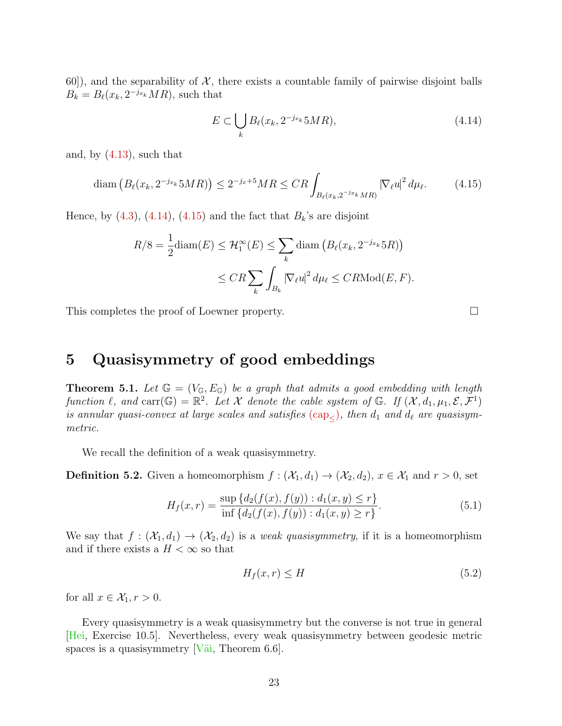60), and the separability of  $\mathcal{X}$ , there exists a countable family of pairwise disjoint balls  $B_k = B_\ell(x_k, 2^{-j_{x_k}}MR)$ , such that

<span id="page-22-1"></span>
$$
E \subset \bigcup_{k} B_{\ell}(x_k, 2^{-j_{x_k}} 5MR), \tag{4.14}
$$

and, by [\(4.13\)](#page-21-2), such that

<span id="page-22-2"></span>
$$
\text{diam}\left(B_{\ell}(x_k, 2^{-j_{x_k}} 5MR)\right) \le 2^{-j_x+5}MR \le CR \int_{B_{\ell}(x_k, 2^{-j_{x_k}}MR)} |\nabla_{\ell} u|^2 d\mu_{\ell}.\tag{4.15}
$$

Hence, by  $(4.3)$ ,  $(4.14)$ ,  $(4.15)$  and the fact that  $B_k$ 's are disjoint

$$
R/8 = \frac{1}{2}\text{diam}(E) \le \mathcal{H}_1^{\infty}(E) \le \sum_k \text{diam}\left(B_\ell(x_k, 2^{-j_{x_k}} 5R)\right)
$$
  

$$
\le CR \sum_k \int_{B_k} |\nabla_\ell u|^2 d\mu_\ell \le CR \text{Mod}(E, F).
$$

This completes the proof of Loewner property.

## <span id="page-22-0"></span>5 Quasisymmetry of good embeddings

<span id="page-22-3"></span>**Theorem 5.1.** Let  $\mathbb{G} = (V_{\mathbb{G}}, E_{\mathbb{G}})$  be a graph that admits a good embedding with length function  $\ell$ , and carr $(\mathbb{G}) = \mathbb{R}^2$ . Let X denote the cable system of  $\mathbb{G}$ . If  $(\mathcal{X}, d_1, \mu_1, \mathcal{E}, \mathcal{F}^1)$ is annular quasi-convex at large scales and satisfies [\(cap](#page-7-0)<sub><</sub>), then  $d_1$  and  $d_\ell$  are quasisymmetric.

We recall the definition of a weak quasisymmetry.

**Definition 5.2.** Given a homeomorphism  $f : (\mathcal{X}_1, d_1) \to (\mathcal{X}_2, d_2), x \in \mathcal{X}_1$  and  $r > 0$ , set

$$
H_f(x,r) = \frac{\sup \{d_2(f(x), f(y)) : d_1(x,y) \le r\}}{\inf \{d_2(f(x), f(y)) : d_1(x,y) \ge r\}}.
$$
\n(5.1)

We say that  $f : (\mathcal{X}_1, d_1) \to (\mathcal{X}_2, d_2)$  is a *weak quasisymmetry*, if it is a homeomorphism and if there exists a  $H < \infty$  so that

$$
H_f(x,r) \le H \tag{5.2}
$$

for all  $x \in \mathcal{X}_1, r > 0$ .

Every quasisymmetry is a weak quasisymmetry but the converse is not true in general [\[Hei,](#page-35-0) Exercise 10.5]. Nevertheless, every weak quasisymmetry between geodesic metric spaces is a quasisymmetry  $[V\ddot{a}i,$  Theorem 6.6.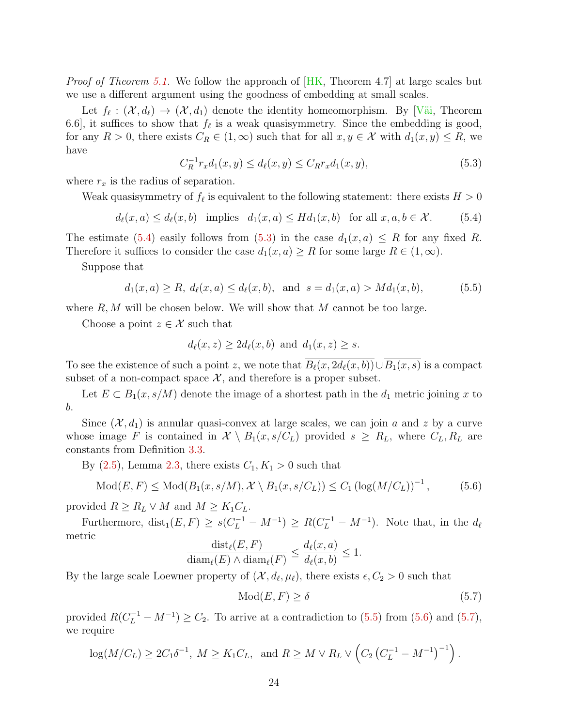*Proof of Theorem [5.1.](#page-22-3)* We follow the approach of  $[HK, Theorem 4.7]$  at large scales but we use a different argument using the goodness of embedding at small scales.

Let  $f_{\ell} : (\mathcal{X}, d_{\ell}) \to (\mathcal{X}, d_1)$  denote the identity homeomorphism. By [Väi, Theorem 6.6, it suffices to show that  $f_{\ell}$  is a weak quasisymmetry. Since the embedding is good, for any  $R > 0$ , there exists  $C_R \in (1,\infty)$  such that for all  $x, y \in \mathcal{X}$  with  $d_1(x, y) \leq R$ , we have

<span id="page-23-1"></span>
$$
C_R^{-1}r_x d_1(x, y) \le d_\ell(x, y) \le C_R r_x d_1(x, y), \tag{5.3}
$$

where  $r_x$  is the radius of separation.

Weak quasisymmetry of  $f_\ell$  is equivalent to the following statement: there exists  $H > 0$ 

<span id="page-23-0"></span>
$$
d_{\ell}(x, a) \le d_{\ell}(x, b) \quad \text{implies} \quad d_1(x, a) \le H d_1(x, b) \quad \text{for all } x, a, b \in \mathcal{X}.
$$
 (5.4)

The estimate [\(5.4\)](#page-23-0) easily follows from [\(5.3\)](#page-23-1) in the case  $d_1(x, a) \leq R$  for any fixed R. Therefore it suffices to consider the case  $d_1(x, a) \geq R$  for some large  $R \in (1, \infty)$ .

Suppose that

<span id="page-23-2"></span>
$$
d_1(x, a) \ge R
$$
,  $d_{\ell}(x, a) \le d_{\ell}(x, b)$ , and  $s = d_1(x, a) > Md_1(x, b)$ ,  $(5.5)$ 

where  $R, M$  will be chosen below. We will show that M cannot be too large.

Choose a point  $z \in \mathcal{X}$  such that

$$
d_{\ell}(x, z) \ge 2d_{\ell}(x, b) \text{ and } d_1(x, z) \ge s.
$$

To see the existence of such a point z, we note that  $\overline{B_{\ell}(x, 2d_{\ell}(x, b))}\cup \overline{B_1(x, s)}$  is a compact subset of a non-compact space  $\mathcal{X}$ , and therefore is a proper subset.

Let  $E \subset B_1(x, s/M)$  denote the image of a shortest path in the  $d_1$  metric joining x to b.

Since  $(\mathcal{X}, d_1)$  is annular quasi-convex at large scales, we can join a and z by a curve whose image F is contained in  $\mathcal{X} \setminus B_1(x, s/C_L)$  provided  $s \geq R_L$ , where  $C_L, R_L$  are constants from Definition [3.3.](#page-16-0)

By  $(2.5)$ , Lemma [2.3,](#page-7-5) there exists  $C_1, K_1 > 0$  such that

<span id="page-23-3"></span>
$$
Mod(E, F) \leq Mod(B_1(x, s/M), \mathcal{X} \setminus B_1(x, s/C_L)) \leq C_1 \left( \log(M/C_L) \right)^{-1}, \tag{5.6}
$$

provided  $R \ge R_L \vee M$  and  $M \ge K_1 C_L$ .

Furthermore,  $dist_1(E, F) \ge s(C_L^{-1} - M^{-1}) \ge R(C_L^{-1} - M^{-1})$ . Note that, in the  $d_{\ell}$ metric

$$
\frac{\operatorname{dist}_{\ell}(E, F)}{\operatorname{diam}_{\ell}(E) \wedge \operatorname{diam}_{\ell}(F)} \leq \frac{d_{\ell}(x, a)}{d_{\ell}(x, b)} \leq 1.
$$

By the large scale Loewner property of  $(\mathcal{X}, d_\ell, \mu_\ell)$ , there exists  $\epsilon, C_2 > 0$  such that

<span id="page-23-4"></span>
$$
Mod(E, F) \ge \delta \tag{5.7}
$$

provided  $R(C_L^{-1} - M^{-1}) \ge C_2$ . To arrive at a contradiction to [\(5.5\)](#page-23-2) from [\(5.6\)](#page-23-3) and [\(5.7\)](#page-23-4), we require

$$
\log(M/C_L) \ge 2C_1 \delta^{-1}, \ M \ge K_1 C_L, \ \text{and } R \ge M \vee R_L \vee \left(C_2 \left(C_L^{-1} - M^{-1}\right)^{-1}\right).
$$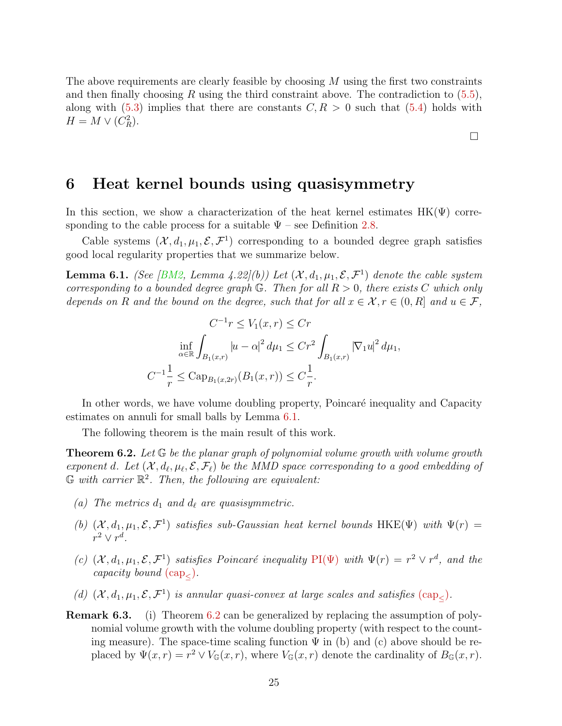The above requirements are clearly feasible by choosing  $M$  using the first two constraints and then finally choosing R using the third constraint above. The contradiction to  $(5.5)$ , along with  $(5.3)$  implies that there are constants  $C, R > 0$  such that  $(5.4)$  holds with  $H = M \vee (C_R^2).$ 

### <span id="page-24-1"></span>6 Heat kernel bounds using quasisymmetry

In this section, we show a characterization of the heat kernel estimates  $HK(\Psi)$  corresponding to the cable process for a suitable  $\Psi$  – see Definition [2.8.](#page-8-2)

Cable systems  $(\mathcal{X}, d_1, \mu_1, \mathcal{E}, \mathcal{F}^1)$  corresponding to a bounded degree graph satisfies good local regularity properties that we summarize below.

<span id="page-24-2"></span>**Lemma 6.1.** (See [\[BM2,](#page-33-11) Lemma 4.22](b)) Let  $(\mathcal{X}, d_1, \mu_1, \mathcal{E}, \mathcal{F}^1)$  denote the cable system corresponding to a bounded degree graph  $\mathbb G$ . Then for all  $R > 0$ , there exists C which only depends on R and the bound on the degree, such that for all  $x \in \mathcal{X}, r \in (0, R]$  and  $u \in \mathcal{F},$ 

$$
C^{-1}r \le V_1(x,r) \le Cr
$$
  

$$
\inf_{\alpha \in \mathbb{R}} \int_{B_1(x,r)} |u - \alpha|^2 d\mu_1 \le Cr^2 \int_{B_1(x,r)} |\nabla_1 u|^2 d\mu_1,
$$
  

$$
C^{-1}\frac{1}{r} \le \text{Cap}_{B_1(x,2r)}(B_1(x,r)) \le C\frac{1}{r}.
$$

In other words, we have volume doubling property, Poincaré inequality and Capacity estimates on annuli for small balls by Lemma [6.1.](#page-24-2)

The following theorem is the main result of this work.

<span id="page-24-0"></span>**Theorem 6.2.** Let  $G$  be the planar graph of polynomial volume growth with volume growth exponent d. Let  $(X, d_\ell, \mu_\ell, \mathcal{E}, \mathcal{F}_\ell)$  be the MMD space corresponding to a good embedding of  $\mathbb G$  with carrier  $\mathbb R^2$ . Then, the following are equivalent:

- (a) The metrics  $d_1$  and  $d_\ell$  are quasisymmetric.
- (b)  $(X, d_1, \mu_1, \mathcal{E}, \mathcal{F}^1)$  satisfies sub-Gaussian heat kernel bounds HKE( $\Psi$ ) with  $\Psi(r)$  =  $r^2 \vee r^d$ .
- (c)  $(\mathcal{X}, d_1, \mu_1, \mathcal{E}, \mathcal{F}^1)$  satisfies Poincaré inequality  $PI(\Psi)$  with  $\Psi(r) = r^2 \vee r^d$ , and the capacity bound  $(cap_{\leq})$  $(cap_{\leq})$ .
- (d)  $(X, d_1, \mu_1, \mathcal{E}, \mathcal{F}^1)$  is annular quasi-convex at large scales and satisfies  $(\text{cap}_{\leq}).$
- Remark 6.3. (i) Theorem [6.2](#page-24-0) can be generalized by replacing the assumption of polynomial volume growth with the volume doubling property (with respect to the counting measure). The space-time scaling function  $\Psi$  in (b) and (c) above should be replaced by  $\Psi(x,r) = r^2 \vee V_{\mathbb{G}}(x,r)$ , where  $V_{\mathbb{G}}(x,r)$  denote the cardinality of  $B_{\mathbb{G}}(x,r)$ .

 $\Box$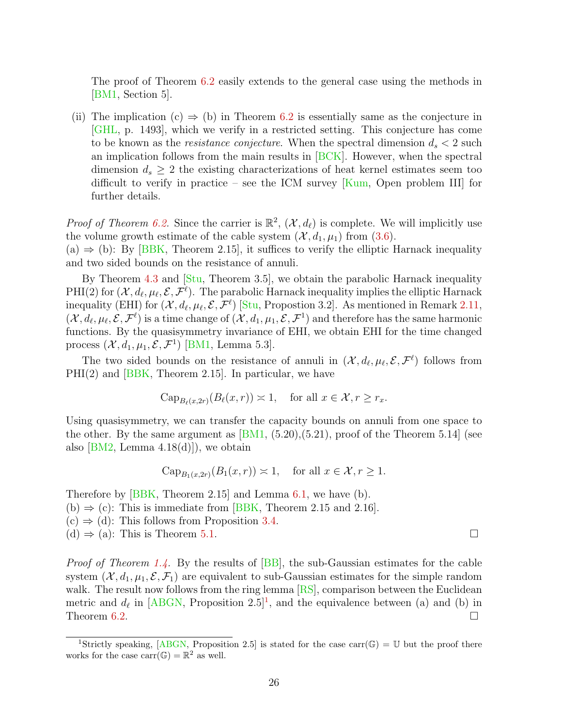The proof of Theorem [6.2](#page-24-0) easily extends to the general case using the methods in [\[BM1,](#page-33-5) Section 5].

(ii) The implication (c)  $\Rightarrow$  (b) in Theorem [6.2](#page-24-0) is essentially same as the conjecture in [\[GHL,](#page-34-8) p. 1493], which we verify in a restricted setting. This conjecture has come to be known as the *resistance conjecture*. When the spectral dimension  $d_s < 2$  such an implication follows from the main results in [\[BCK\]](#page-32-4). However, when the spectral dimension  $d_s \geq 2$  the existing characterizations of heat kernel estimates seem too difficult to verify in practice – see the ICM survey  $\left[\text{Kum}, \text{Open problem III}\right]$  for further details.

*Proof of Theorem [6.2.](#page-24-0)* Since the carrier is  $\mathbb{R}^2$ ,  $(\mathcal{X}, d_\ell)$  is complete. We will implicitly use the volume growth estimate of the cable system  $(\mathcal{X}, d_1, \mu_1)$  from [\(3.6\)](#page-16-1). (a)  $\Rightarrow$  (b): By [\[BBK,](#page-32-5) Theorem 2.15], it suffices to verify the elliptic Harnack inequality

and two sided bounds on the resistance of annuli.

By Theorem [4.3](#page-17-2) and [\[Stu,](#page-36-11) Theorem 3.5], we obtain the parabolic Harnack inequality PHI(2) for  $(\mathcal{X}, d_\ell, \mu_\ell, \mathcal{E}, \mathcal{F}^\ell)$ . The parabolic Harnack inequality implies the elliptic Harnack inequality (EHI) for  $(\mathcal{X}, d_{\ell}, \mu_{\ell}, \mathcal{E}, \mathcal{F}^{\ell})$  [\[Stu,](#page-36-11) Propostion 3.2]. As mentioned in Remark [2.11,](#page-0-0)  $(\mathcal{X}, d_\ell, \mu_\ell, \mathcal{E}, \mathcal{F}^\ell)$  is a time change of  $(\mathcal{X}, d_1, \mu_1, \mathcal{E}, \mathcal{F}^1)$  and therefore has the same harmonic functions. By the quasisymmetry invariance of EHI, we obtain EHI for the time changed process  $(\mathcal{X}, d_1, \mu_1, \mathcal{E}, \mathcal{F}^1)$  [\[BM1,](#page-33-5) Lemma 5.3].

The two sided bounds on the resistance of annuli in  $(\mathcal{X}, d_{\ell}, \mu_{\ell}, \mathcal{E}, \mathcal{F}^{\ell})$  follows from  $PHI(2)$  and  $|BBK$ , Theorem 2.15. In particular, we have

$$
\mathrm{Cap}_{B_{\ell}(x,2r)}(B_{\ell}(x,r)) \asymp 1, \quad \text{for all } x \in \mathcal{X}, r \geq r_x.
$$

Using quasisymmetry, we can transfer the capacity bounds on annuli from one space to the other. By the same argument as  $[BM1, (5.20), (5.21),$  proof of the Theorem 5.14 (see also  $[BM2, Lemma 4.18(d)]$ , we obtain

$$
Cap_{B_1(x,2r)}(B_1(x,r)) \simeq 1, \text{ for all } x \in \mathcal{X}, r \ge 1.
$$

Therefore by [\[BBK,](#page-32-5) Theorem 2.15] and Lemma [6.1,](#page-24-2) we have (b). (b)  $\Rightarrow$  (c): This is immediate from [\[BBK,](#page-32-5) Theorem 2.15 and 2.16].  $(c) \Rightarrow (d)$ : This follows from Proposition [3.4.](#page-16-6)  $(d) \Rightarrow (a)$ : This is Theorem [5.1.](#page-22-3)

Proof of Theorem [1.4.](#page-2-2) By the results of [\[BB\]](#page-32-3), the sub-Gaussian estimates for the cable system  $(\mathcal{X}, d_1, \mu_1, \mathcal{E}, \mathcal{F}_1)$  are equivalent to sub-Gaussian estimates for the simple random walk. The result now follows from the ring lemma  $[RS]$ , comparison between the Euclidean metric and  $d_{\ell}$  in [\[ABGN,](#page-32-0) Proposition 2.5]<sup>[1](#page-25-0)</sup>, and the equivalence between (a) and (b) in Theorem [6.2.](#page-24-0)

<span id="page-25-0"></span><sup>&</sup>lt;sup>1</sup>Strictly speaking, [\[ABGN,](#page-32-0) Proposition 2.5] is stated for the case carr( $\mathbb{G}$ ) = U but the proof there works for the case  $\operatorname{carr}(\mathbb{G}) = \mathbb{R}^2$  as well.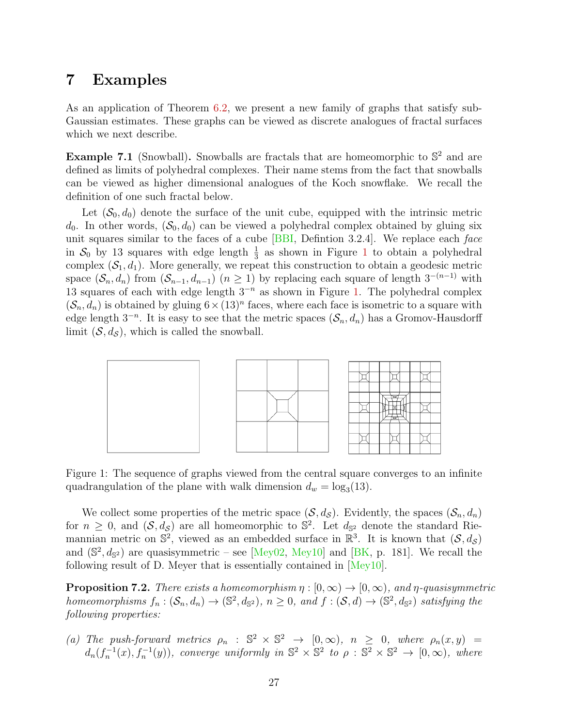### <span id="page-26-0"></span>7 Examples

As an application of Theorem [6.2,](#page-24-0) we present a new family of graphs that satisfy sub-Gaussian estimates. These graphs can be viewed as discrete analogues of fractal surfaces which we next describe.

<span id="page-26-2"></span>**Example 7.1** (Snowball). Snowballs are fractals that are homeomorphic to  $\mathbb{S}^2$  and are defined as limits of polyhedral complexes. Their name stems from the fact that snowballs can be viewed as higher dimensional analogues of the Koch snowflake. We recall the definition of one such fractal below.

Let  $(\mathcal{S}_0, d_0)$  denote the surface of the unit cube, equipped with the intrinsic metric  $d_0$ . In other words,  $(\mathcal{S}_0, d_0)$  can be viewed a polyhedral complex obtained by gluing six unit squares similar to the faces of a cube  $[BBI, Definition 3.2.4]$ . We replace each face in  $S_0$  by [1](#page-26-1)3 squares with edge length  $\frac{1}{3}$  as shown in Figure 1 to obtain a polyhedral complex  $(S_1, d_1)$ . More generally, we repeat this construction to obtain a geodesic metric space  $(\mathcal{S}_n, d_n)$  from  $(\mathcal{S}_{n-1}, d_{n-1})$   $(n \geq 1)$  by replacing each square of length  $3^{-(n-1)}$  with 13 squares of each with edge length  $3^{-n}$  as shown in Figure [1.](#page-26-1) The polyhedral complex  $(\mathcal{S}_n, d_n)$  is obtained by gluing  $6 \times (13)^n$  faces, where each face is isometric to a square with edge length  $3^{-n}$ . It is easy to see that the metric spaces  $(\mathcal{S}_n, d_n)$  has a Gromov-Hausdorff limit  $(S, d<sub>S</sub>)$ , which is called the snowball.



<span id="page-26-1"></span>Figure 1: The sequence of graphs viewed from the central square converges to an infinite quadrangulation of the plane with walk dimension  $d_w = \log_3(13)$ .

We collect some properties of the metric space  $(S, d_{\mathcal{S}})$ . Evidently, the spaces  $(\mathcal{S}_n, d_n)$ for  $n \geq 0$ , and  $(\mathcal{S}, d_{\mathcal{S}})$  are all homeomorphic to  $\mathbb{S}^2$ . Let  $d_{\mathbb{S}^2}$  denote the standard Riemannian metric on  $\mathbb{S}^2$ , viewed as an embedded surface in  $\mathbb{R}^3$ . It is known that  $(\mathcal{S}, d_{\mathcal{S}})$ and  $(\mathbb{S}^2, d_{\mathbb{S}^2})$  are quasisymmetric – see [\[Mey02,](#page-36-13) [Mey10\]](#page-36-14) and [\[BK,](#page-33-3) p. 181]. We recall the following result of D. Meyer that is essentially contained in [\[Mey10\]](#page-36-14).

<span id="page-26-3"></span>**Proposition 7.2.** There exists a homeomorphism  $\eta : [0, \infty) \to [0, \infty)$ , and  $\eta$ -quasisymmetric homeomorphisms  $f_n: (\mathcal{S}_n, d_n) \to (\mathbb{S}^2, d_{\mathbb{S}^2}), n \ge 0$ , and  $f: (\mathcal{S}, d) \to (\mathbb{S}^2, d_{\mathbb{S}^2})$  satisfying the following properties:

(a) The push-forward metrics  $\rho_n : \mathbb{S}^2 \times \mathbb{S}^2 \to [0, \infty), n \geq 0$ , where  $\rho_n(x, y) =$  $d_n(f_n^{-1}(x), f_n^{-1}(y)),$  converge uniformly in  $\mathbb{S}^2 \times \mathbb{S}^2$  to  $\rho : \mathbb{S}^2 \times \mathbb{S}^2 \to [0, \infty),$  where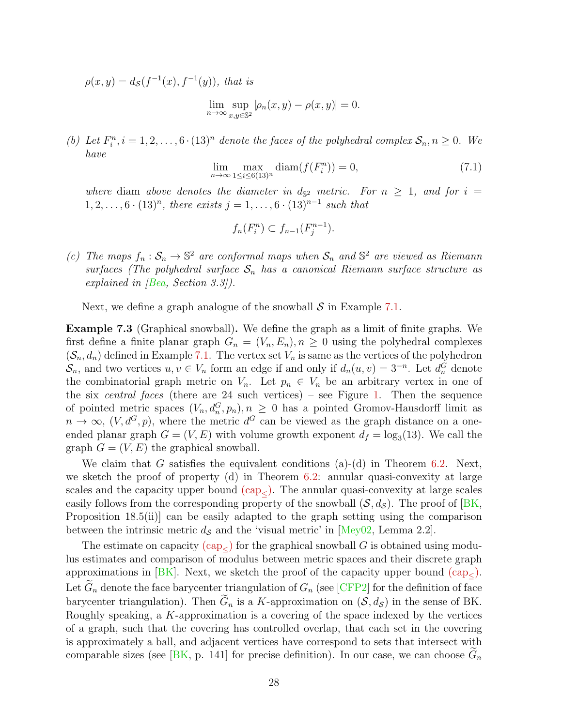$\rho(x,y) = d_{\mathcal{S}}(f^{-1}(x), f^{-1}(y)),$  that is

 $\lim_{n\to\infty} \sup_{x,y\in\mathbb{S}}$  $\sup_{x,y\in\mathbb{S}^2} |\rho_n(x,y) - \rho(x,y)| = 0.$ 

(b) Let  $F_i^n$ ,  $i = 1, 2, ..., 6 \cdot (13)^n$  denote the faces of the polyhedral complex  $S_n$ ,  $n \geq 0$ . We have

$$
\lim_{n \to \infty} \max_{1 \le i \le 6(13)^n} \text{diam}(f(F_i^n)) = 0,\tag{7.1}
$$

where diam above denotes the diameter in  $d_{\mathbb{S}^2}$  metric. For  $n \geq 1$ , and for  $i =$  $1, 2, \ldots, 6 \cdot (13)^n$ , there exists  $j = 1, \ldots, 6 \cdot (13)^{n-1}$  such that

$$
f_n(F_i^n) \subset f_{n-1}(F_j^{n-1}).
$$

(c) The maps  $f_n : S_n \to \mathbb{S}^2$  are conformal maps when  $S_n$  and  $\mathbb{S}^2$  are viewed as Riemann surfaces (The polyhedral surface  $S_n$  has a canonical Riemann surface structure as explained in  $\beta$ ea, Section 3.3.

Next, we define a graph analogue of the snowball  $S$  in Example [7.1.](#page-26-2)

<span id="page-27-0"></span>Example 7.3 (Graphical snowball). We define the graph as a limit of finite graphs. We first define a finite planar graph  $G_n = (V_n, E_n), n \geq 0$  using the polyhedral complexes  $(\mathcal{S}_n, d_n)$  defined in Example [7.1.](#page-26-2) The vertex set  $V_n$  is same as the vertices of the polyhedron  $\mathcal{S}_n$ , and two vertices  $u, v \in V_n$  form an edge if and only if  $d_n(u, v) = 3^{-n}$ . Let  $d_n^G$  denote the combinatorial graph metric on  $V_n$ . Let  $p_n \in V_n$  be an arbitrary vertex in one of the six *central faces* (there are 24 such vertices) – see Figure [1.](#page-26-1) Then the sequence of pointed metric spaces  $(V_n, d_n^G, p_n), n \geq 0$  has a pointed Gromov-Hausdorff limit as  $n \to \infty$ ,  $(V, d^G, p)$ , where the metric  $d^G$  can be viewed as the graph distance on a oneended planar graph  $G = (V, E)$  with volume growth exponent  $d_f = \log_3(13)$ . We call the graph  $G = (V, E)$  the graphical snowball.

We claim that G satisfies the equivalent conditions (a)-(d) in Theorem [6.2.](#page-24-0) Next, we sketch the proof of property (d) in Theorem [6.2:](#page-24-0) annular quasi-convexity at large scales and the capacity upper bound  $(cap<sub>≤</sub>)$  $(cap<sub>≤</sub>)$ . The annular quasi-convexity at large scales easily follows from the corresponding property of the snowball  $(S, d<sub>S</sub>)$ . The proof of [\[BK,](#page-33-3) Proposition 18.5(ii)] can be easily adapted to the graph setting using the comparison between the intrinsic metric  $d_{\mathcal{S}}$  and the 'visual metric' in [\[Mey02,](#page-36-13) Lemma 2.2].

The estimate on capacity  $(\text{cap}_{\leq})$  for the graphical snowball G is obtained using modulus estimates and comparison of modulus between metric spaces and their discrete graph approximations in [\[BK\]](#page-33-3). Next, we sketch the proof of the capacity upper bound  $(cap)$  $(cap)$ . Let  $\widetilde{G}_n$  denote the face barycenter triangulation of  $G_n$  (see [\[CFP2\]](#page-34-3) for the definition of face barycenter triangulation). Then  $\tilde{G}_n$  is a K-approximation on  $(\mathcal{S}, d_{\mathcal{S}})$  in the sense of BK. Roughly speaking, a K-approximation is a covering of the space indexed by the vertices of a graph, such that the covering has controlled overlap, that each set in the covering is approximately a ball, and adjacent vertices have correspond to sets that intersect with comparable sizes (see [\[BK,](#page-33-3) p. 141] for precise definition). In our case, we can choose  $G_n$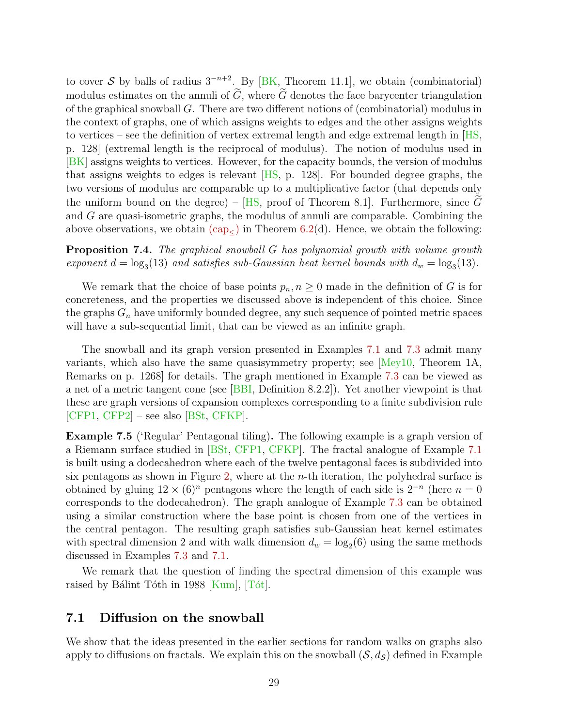to cover S by balls of radius  $3^{-n+2}$ . By [\[BK,](#page-33-3) Theorem 11.1], we obtain (combinatorial) modulus estimates on the annuli of  $\tilde{G}$ , where  $\tilde{G}$  denotes the face barycenter triangulation of the graphical snowball G. There are two different notions of (combinatorial) modulus in the context of graphs, one of which assigns weights to edges and the other assigns weights to vertices – see the definition of vertex extremal length and edge extremal length in [\[HS,](#page-35-10) p. 128] (extremal length is the reciprocal of modulus). The notion of modulus used in [\[BK\]](#page-33-3) assigns weights to vertices. However, for the capacity bounds, the version of modulus that assigns weights to edges is relevant [\[HS,](#page-35-10) p. 128]. For bounded degree graphs, the two versions of modulus are comparable up to a multiplicative factor (that depends only the uniform bound on the degree) – [\[HS,](#page-35-10) proof of Theorem 8.1]. Furthermore, since  $\tilde{G}$ and G are quasi-isometric graphs, the modulus of annuli are comparable. Combining the above observations, we obtain  $(cap<sub><</sub>)$  $(cap<sub><</sub>)$  in Theorem [6.2\(](#page-24-0)d). Hence, we obtain the following:

**Proposition 7.4.** The graphical snowball G has polynomial growth with volume growth exponent  $d = \log_3(13)$  and satisfies sub-Gaussian heat kernel bounds with  $d_w = \log_3(13)$ .

We remark that the choice of base points  $p_n, n \geq 0$  made in the definition of G is for concreteness, and the properties we discussed above is independent of this choice. Since the graphs  $G_n$  have uniformly bounded degree, any such sequence of pointed metric spaces will have a sub-sequential limit, that can be viewed as an infinite graph.

The snowball and its graph version presented in Examples [7.1](#page-26-2) and [7.3](#page-27-0) admit many variants, which also have the same quasisymmetry property; see  $Mey10$ , Theorem 1A, Remarks on p. 1268] for details. The graph mentioned in Example [7.3](#page-27-0) can be viewed as a net of a metric tangent cone (see [\[BBI,](#page-33-9) Definition 8.2.2]). Yet another viewpoint is that these are graph versions of expansion complexes corresponding to a finite subdivision rule  $[CFP1, CFP2]$  $[CFP1, CFP2]$  $[CFP1, CFP2]$  – see also  $[BSt, CFKP]$  $[BSt, CFKP]$ .

Example 7.5 ('Regular' Pentagonal tiling). The following example is a graph version of a Riemann surface studied in [\[BSt,](#page-33-14) [CFP1,](#page-33-13) [CFKP\]](#page-34-9). The fractal analogue of Example [7.1](#page-26-2) is built using a dodecahedron where each of the twelve pentagonal faces is subdivided into six pentagons as shown in Figure [2,](#page-29-0) where at the *n*-th iteration, the polyhedral surface is obtained by gluing  $12 \times (6)^n$  pentagons where the length of each side is  $2^{-n}$  (here  $n = 0$ ) corresponds to the dodecahedron). The graph analogue of Example [7.3](#page-27-0) can be obtained using a similar construction where the base point is chosen from one of the vertices in the central pentagon. The resulting graph satisfies sub-Gaussian heat kernel estimates with spectral dimension 2 and with walk dimension  $d_w = \log_2(6)$  using the same methods discussed in Examples [7.3](#page-27-0) and [7.1.](#page-26-2)

We remark that the question of finding the spectral dimension of this example was raised by Bálint Tóth in 1988  $[Kum]$ ,  $[Tót]$ .

#### 7.1 Diffusion on the snowball

We show that the ideas presented in the earlier sections for random walks on graphs also apply to diffusions on fractals. We explain this on the snowball  $(S, d<sub>S</sub>)$  defined in Example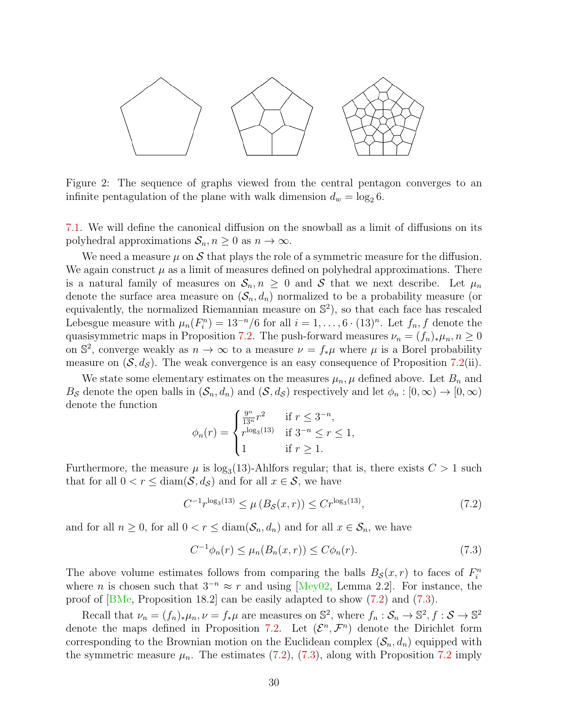

<span id="page-29-0"></span>Figure 2: The sequence of graphs viewed from the central pentagon converges to an infinite pentagulation of the plane with walk dimension  $d_w = \log_2 6$ .

[7.1.](#page-26-2) We will define the canonical diffusion on the snowball as a limit of diffusions on its polyhedral approximations  $S_n, n \geq 0$  as  $n \to \infty$ .

We need a measure  $\mu$  on S that plays the role of a symmetric measure for the diffusion. We again construct  $\mu$  as a limit of measures defined on polyhedral approximations. There is a natural family of measures on  $\mathcal{S}_n, n \geq 0$  and S that we next describe. Let  $\mu_n$ denote the surface area measure on  $(\mathcal{S}_n, d_n)$  normalized to be a probability measure (or equivalently, the normalized Riemannian measure on  $\mathbb{S}^2$ ), so that each face has rescaled Lebesgue measure with  $\mu_n(F_i^n) = 13^{-n}/6$  for all  $i = 1, \ldots, 6 \cdot (13)^n$ . Let  $f_n, f$  denote the quasisymmetric maps in Proposition [7.2.](#page-26-3) The push-forward measures  $\nu_n = (f_n)_*\mu_n, n \ge 0$ on  $\mathbb{S}^2$ , converge weakly as  $n \to \infty$  to a measure  $\nu = f_*\mu$  where  $\mu$  is a Borel probability measure on  $(S, d<sub>S</sub>)$ . The weak convergence is an easy consequence of Proposition [7.2\(](#page-26-3)ii).

We state some elementary estimates on the measures  $\mu_n$ ,  $\mu$  defined above. Let  $B_n$  and  $B_{\mathcal{S}}$  denote the open balls in  $(\mathcal{S}_n, d_n)$  and  $(\mathcal{S}, d_{\mathcal{S}})$  respectively and let  $\phi_n : [0, \infty) \to [0, \infty)$ denote the function

$$
\phi_n(r) = \begin{cases} \frac{9^n}{13^n} r^2 & \text{if } r \le 3^{-n}, \\ r^{\log_3(13)} & \text{if } 3^{-n} \le r \le 1, \\ 1 & \text{if } r \ge 1. \end{cases}
$$

Furthermore, the measure  $\mu$  is log<sub>3</sub>(13)-Ahlfors regular; that is, there exists  $C > 1$  such that for all  $0 < r \leq \text{diam}(\mathcal{S}, d_{\mathcal{S}})$  and for all  $x \in \mathcal{S}$ , we have

<span id="page-29-1"></span>
$$
C^{-1}r^{\log_3(13)} \le \mu\left(B_{\mathcal{S}}(x,r)\right) \le Cr^{\log_3(13)},\tag{7.2}
$$

and for all  $n \geq 0$ , for all  $0 < r \leq diam(\mathcal{S}_n, d_n)$  and for all  $x \in \mathcal{S}_n$ , we have

<span id="page-29-2"></span>
$$
C^{-1}\phi_n(r) \le \mu_n(B_n(x,r)) \le C\phi_n(r). \tag{7.3}
$$

The above volume estimates follows from comparing the balls  $B_{\mathcal{S}}(x,r)$  to faces of  $F_i^n$ where *n* is chosen such that  $3^{-n} \approx r$  and using [\[Mey02,](#page-36-13) Lemma 2.2]. For instance, the proof of [\[BMe,](#page-33-15) Proposition 18.2] can be easily adapted to show [\(7.2\)](#page-29-1) and [\(7.3\)](#page-29-2).

Recall that  $\nu_n = (f_n)_*\mu_n, \nu = f_*\mu$  are measures on  $\mathbb{S}^2$ , where  $f_n : \mathcal{S}_n \to \mathbb{S}^2, f : \mathcal{S} \to \mathbb{S}^2$ denote the maps defined in Proposition [7.2.](#page-26-3) Let  $(\mathcal{E}^n, \mathcal{F}^n)$  denote the Dirichlet form corresponding to the Brownian motion on the Euclidean complex  $(\mathcal{S}_n, d_n)$  equipped with the symmetric measure  $\mu_n$ . The estimates [\(7.2\)](#page-29-1), [\(7.3\)](#page-29-2), along with Proposition [7.2](#page-26-3) imply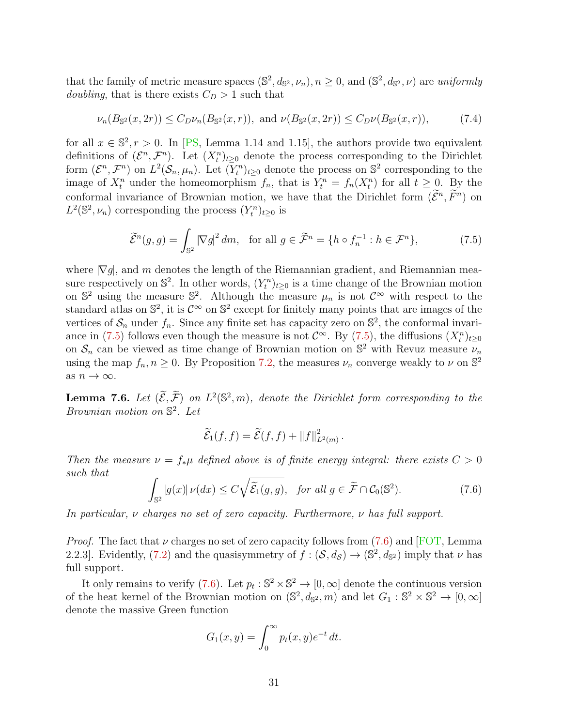that the family of metric measure spaces  $(\mathbb{S}^2, d_{\mathbb{S}^2}, \nu_n), n \geq 0$ , and  $(\mathbb{S}^2, d_{\mathbb{S}^2}, \nu)$  are uniformly doubling, that is there exists  $C_D > 1$  such that

<span id="page-30-2"></span>
$$
\nu_n(B_{\mathbb{S}^2}(x,2r)) \le C_D \nu_n(B_{\mathbb{S}^2}(x,r)), \text{ and } \nu(B_{\mathbb{S}^2}(x,2r)) \le C_D \nu(B_{\mathbb{S}^2}(x,r)),\tag{7.4}
$$

for all  $x \in \mathbb{S}^2$ ,  $r > 0$ . In [\[PS,](#page-36-6) Lemma 1.14 and 1.15], the authors provide two equivalent definitions of  $(\mathcal{E}^n, \mathcal{F}^n)$ . Let  $(X_t^n)_{t\geq 0}$  denote the process corresponding to the Dirichlet form  $(\mathcal{E}^n, \mathcal{F}^n)$  on  $L^2(\mathcal{S}_n, \mu_n)$ . Let  $(Y_t^n)_{t \geq 0}$  denote the process on  $\mathbb{S}^2$  corresponding to the image of  $X_t^n$  under the homeomorphism  $f_n$ , that is  $Y_t^n = f_n(X_t^n)$  for all  $t \geq 0$ . By the conformal invariance of Brownian motion, we have that the Dirichlet form  $(\mathcal{E}^n, \tilde{F}^n)$  on  $L^2(\mathbb{S}^2, \nu_n)$  corresponding the process  $(Y_t^n)_{t\geq 0}$  is

<span id="page-30-0"></span>
$$
\widetilde{\mathcal{E}}^n(g,g) = \int_{\mathbb{S}^2} |\nabla g|^2 \, dm, \quad \text{for all } g \in \widetilde{\mathcal{F}}^n = \{ h \circ f_n^{-1} : h \in \mathcal{F}^n \}, \tag{7.5}
$$

where  $|\nabla g|$ , and m denotes the length of the Riemannian gradient, and Riemannian measure respectively on  $\mathbb{S}^2$ . In other words,  $(Y_t^n)_{t\geq 0}$  is a time change of the Brownian motion on  $\mathbb{S}^2$  using the measure  $\mathbb{S}^2$ . Although the measure  $\mu_n$  is not  $\mathcal{C}^{\infty}$  with respect to the standard atlas on  $\mathbb{S}^2$ , it is  $\mathcal{C}^\infty$  on  $\mathbb{S}^2$  except for finitely many points that are images of the vertices of  $S_n$  under  $f_n$ . Since any finite set has capacity zero on  $\mathbb{S}^2$ , the conformal invari-ance in [\(7.5\)](#page-30-0) follows even though the measure is not  $\mathcal{C}^{\infty}$ . By (7.5), the diffusions  $(X_t^n)_{t\geq 0}$ on  $S_n$  can be viewed as time change of Brownian motion on  $\mathbb{S}^2$  with Revuz measure  $\nu_n$ using the map  $f_n, n \geq 0$ . By Proposition [7.2,](#page-26-3) the measures  $\nu_n$  converge weakly to  $\nu$  on  $\mathbb{S}^2$ as  $n \to \infty$ .

<span id="page-30-3"></span>**Lemma 7.6.** Let  $(\widetilde{\mathcal{E}}, \widetilde{\mathcal{F}})$  on  $L^2(\mathbb{S}^2, m)$ , denote the Dirichlet form corresponding to the Brownian motion on S 2 . Let

$$
\widetilde{\mathcal{E}}_1(f,f)=\widetilde{\mathcal{E}}(f,f)+\|f\|^2_{L^2(m)}.
$$

Then the measure  $\nu = f_*\mu$  defined above is of finite energy integral: there exists  $C > 0$ such that

<span id="page-30-1"></span>
$$
\int_{\mathbb{S}^2} |g(x)| \,\nu(dx) \le C\sqrt{\widetilde{\mathcal{E}}_1(g,g)}, \quad \text{for all } g \in \widetilde{\mathcal{F}} \cap \mathcal{C}_0(\mathbb{S}^2). \tag{7.6}
$$

In particular,  $\nu$  charges no set of zero capacity. Furthermore,  $\nu$  has full support.

*Proof.* The fact that  $\nu$  charges no set of zero capacity follows from [\(7.6\)](#page-30-1) and [\[FOT,](#page-34-4) Lemma 2.2.3. Evidently, [\(7.2\)](#page-29-1) and the quasisymmetry of  $f : (\mathcal{S}, d_{\mathcal{S}}) \to (\mathbb{S}^2, d_{\mathbb{S}^2})$  imply that  $\nu$  has full support.

It only remains to verify [\(7.6\)](#page-30-1). Let  $p_t : \mathbb{S}^2 \times \mathbb{S}^2 \to [0, \infty]$  denote the continuous version of the heat kernel of the Brownian motion on  $(\mathbb{S}^2, d_{\mathbb{S}^2}, m)$  and let  $G_1 : \mathbb{S}^2 \times \mathbb{S}^2 \to [0, \infty]$ denote the massive Green function

$$
G_1(x,y) = \int_0^\infty p_t(x,y)e^{-t} dt.
$$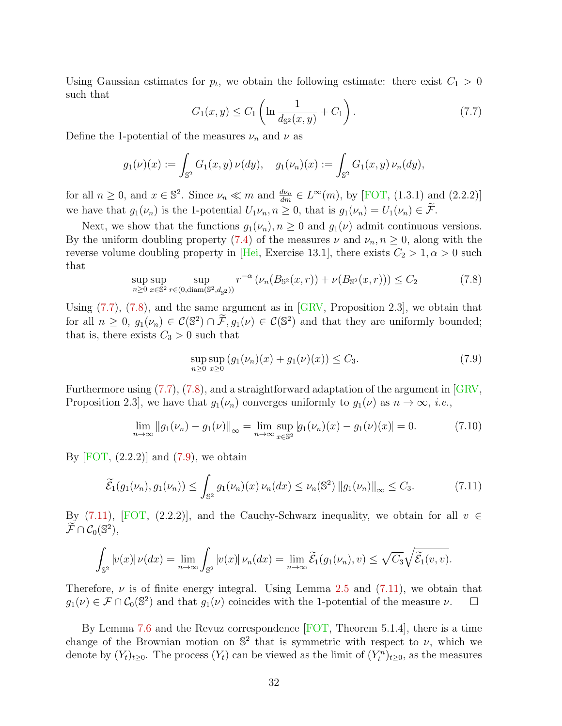Using Gaussian estimates for  $p_t$ , we obtain the following estimate: there exist  $C_1 > 0$ such that

<span id="page-31-0"></span>
$$
G_1(x,y) \le C_1 \left( \ln \frac{1}{d_{\mathbb{S}^2}(x,y)} + C_1 \right). \tag{7.7}
$$

Define the 1-potential of the measures  $\nu_n$  and  $\nu$  as

$$
g_1(\nu)(x) := \int_{\mathbb{S}^2} G_1(x, y) \nu(dy), \quad g_1(\nu_n)(x) := \int_{\mathbb{S}^2} G_1(x, y) \nu_n(dy),
$$

for all  $n \ge 0$ , and  $x \in \mathbb{S}^2$ . Since  $\nu_n \ll m$  and  $\frac{d\nu_n}{dm} \in L^\infty(m)$ , by [\[FOT,](#page-34-4) (1.3.1) and (2.2.2)] we have that  $g_1(\nu_n)$  is the 1-potential  $U_1\nu_n, n \geq 0$ , that is  $g_1(\nu_n) = U_1(\nu_n) \in \widetilde{\mathcal{F}}$ .

Next, we show that the functions  $g_1(\nu_n), n \geq 0$  and  $g_1(\nu)$  admit continuous versions. By the uniform doubling property [\(7.4\)](#page-30-2) of the measures  $\nu$  and  $\nu_n$ ,  $n \geq 0$ , along with the reverse volume doubling property in [\[Hei,](#page-35-0) Exercise 13.1], there exists  $C_2 > 1, \alpha > 0$  such that

<span id="page-31-1"></span>
$$
\sup_{n\geq 0} \sup_{x\in\mathbb{S}^2} \sup_{r\in(0,\text{diam}(\mathbb{S}^2,d_{\mathbb{S}^2}))} r^{-\alpha} \left(\nu_n(B_{\mathbb{S}^2}(x,r)) + \nu(B_{\mathbb{S}^2}(x,r))\right) \leq C_2 \tag{7.8}
$$

Using [\(7.7\)](#page-31-0), [\(7.8\)](#page-31-1), and the same argument as in [\[GRV,](#page-34-10) Proposition 2.3], we obtain that for all  $n \geq 0$ ,  $g_1(\nu_n) \in \mathcal{C}(\mathbb{S}^2) \cap \widetilde{\mathcal{F}}, g_1(\nu) \in \mathcal{C}(\mathbb{S}^2)$  and that they are uniformly bounded; that is, there exists  $C_3 > 0$  such that

<span id="page-31-2"></span>
$$
\sup_{n\geq 0} \sup_{x\geq 0} (g_1(\nu_n)(x) + g_1(\nu)(x)) \leq C_3. \tag{7.9}
$$

Furthermore using  $(7.7)$ ,  $(7.8)$ , and a straightforward adaptation of the argument in  $\Gamma$ GRV, Proposition 2.3], we have that  $g_1(\nu_n)$  converges uniformly to  $g_1(\nu)$  as  $n \to \infty$ , *i.e.*,

$$
\lim_{n \to \infty} \|g_1(\nu_n) - g_1(\nu)\|_{\infty} = \lim_{n \to \infty} \sup_{x \in \mathbb{S}^2} |g_1(\nu_n)(x) - g_1(\nu)(x)| = 0.
$$
 (7.10)

By  $[FOT, (2.2.2)]$  and  $(7.9)$ , we obtain

<span id="page-31-3"></span>
$$
\widetilde{\mathcal{E}}_1(g_1(\nu_n), g_1(\nu_n)) \le \int_{\mathbb{S}^2} g_1(\nu_n)(x) \nu_n(dx) \le \nu_n(\mathbb{S}^2) \|g_1(\nu_n)\|_{\infty} \le C_3. \tag{7.11}
$$

By [\(7.11\)](#page-31-3), [\[FOT,](#page-34-4) (2.2.2)], and the Cauchy-Schwarz inequality, we obtain for all  $v \in$  $\widetilde{\mathcal{F}}\cap\mathcal{C}_0(\mathbb{S}^2),$ 

$$
\int_{\mathbb{S}^2} |v(x)| \nu(dx) = \lim_{n \to \infty} \int_{\mathbb{S}^2} |v(x)| \nu_n(dx) = \lim_{n \to \infty} \widetilde{\mathcal{E}}_1(g_1(\nu_n), v) \le \sqrt{C_3} \sqrt{\widetilde{\mathcal{E}}_1(v, v)}.
$$

Therefore,  $\nu$  is of finite energy integral. Using Lemma [2.5](#page-7-3) and [\(7.11\)](#page-31-3), we obtain that  $g_1(\nu) \in \mathcal{F} \cap C_0(\mathbb{S}^2)$  and that  $g_1(\nu)$  coincides with the 1-potential of the measure  $\nu$ .  $\Box$ 

By Lemma [7.6](#page-30-3) and the Revuz correspondence [\[FOT,](#page-34-4) Theorem 5.1.4], there is a time change of the Brownian motion on  $\mathbb{S}^2$  that is symmetric with respect to  $\nu$ , which we denote by  $(Y_t)_{t\geq 0}$ . The process  $(Y_t)$  can be viewed as the limit of  $(Y_t^n)_{t\geq 0}$ , as the measures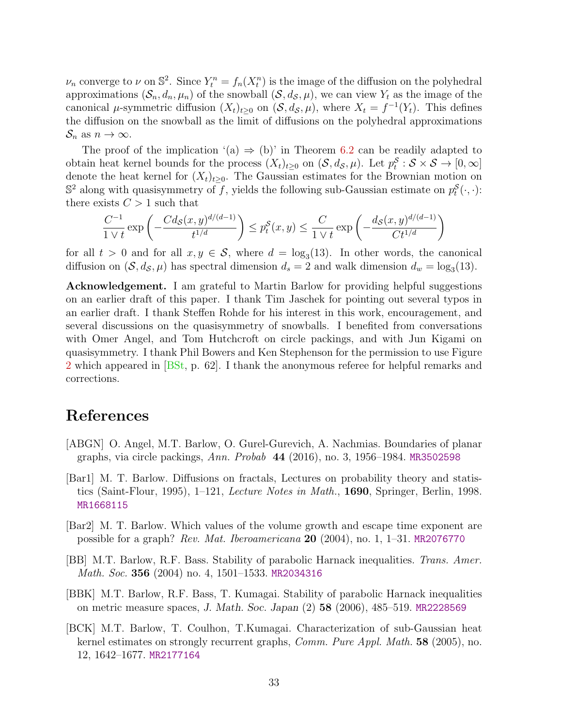$\nu_n$  converge to  $\nu$  on  $\mathbb{S}^2$ . Since  $Y_t^n = f_n(X_t^n)$  is the image of the diffusion on the polyhedral approximations  $(S_n, d_n, \mu_n)$  of the snowball  $(S, d_{\mathcal{S}}, \mu)$ , we can view  $Y_t$  as the image of the canonical  $\mu$ -symmetric diffusion  $(X_t)_{t\geq 0}$  on  $(\mathcal{S}, d_{\mathcal{S}}, \mu)$ , where  $X_t = f^{-1}(Y_t)$ . This defines the diffusion on the snowball as the limit of diffusions on the polyhedral approximations  $\mathcal{S}_n$  as  $n \to \infty$ .

The proof of the implication '(a)  $\Rightarrow$  (b)' in Theorem [6.2](#page-24-0) can be readily adapted to obtain heat kernel bounds for the process  $(X_t)_{t\geq 0}$  on  $(S, d_{\mathcal{S}}, \mu)$ . Let  $p_t^{\mathcal{S}} : \mathcal{S} \times \mathcal{S} \to [0, \infty]$ denote the heat kernel for  $(X_t)_{t\geq 0}$ . The Gaussian estimates for the Brownian motion on  $\mathbb{S}^2$  along with quasisymmetry of f, yields the following sub-Gaussian estimate on  $p_t^{\mathcal{S}}(\cdot,\cdot)$ : there exists  $C > 1$  such that

$$
\frac{C^{-1}}{1 \vee t} \exp\left(-\frac{C d_{\mathcal{S}}(x, y)^{d/(d-1)}}{t^{1/d}}\right) \le p_t^{\mathcal{S}}(x, y) \le \frac{C}{1 \vee t} \exp\left(-\frac{d_{\mathcal{S}}(x, y)^{d/(d-1)}}{C t^{1/d}}\right)
$$

for all  $t > 0$  and for all  $x, y \in S$ , where  $d = \log_3(13)$ . In other words, the canonical diffusion on  $(S, d_S, \mu)$  has spectral dimension  $d_s = 2$  and walk dimension  $d_w = \log_3(13)$ .

Acknowledgement. I am grateful to Martin Barlow for providing helpful suggestions on an earlier draft of this paper. I thank Tim Jaschek for pointing out several typos in an earlier draft. I thank Steffen Rohde for his interest in this work, encouragement, and several discussions on the quasisymmetry of snowballs. I benefited from conversations with Omer Angel, and Tom Hutchcroft on circle packings, and with Jun Kigami on quasisymmetry. I thank Phil Bowers and Ken Stephenson for the permission to use Figure [2](#page-29-0) which appeared in  $[**BSt**, p. 62]$ . I thank the anonymous referee for helpful remarks and corrections.

### References

- <span id="page-32-0"></span>[ABGN] O. Angel, M.T. Barlow, O. Gurel-Gurevich, A. Nachmias. Boundaries of planar graphs, via circle packings, Ann. Probab 44 (2016), no. 3, 1956–1984. [MR3502598](http://www.ams.org/mathscinet-getitem?mr=3502598)
- <span id="page-32-1"></span>[Bar1] M. T. Barlow. Diffusions on fractals, Lectures on probability theory and statistics (Saint-Flour, 1995), 1–121, Lecture Notes in Math., 1690, Springer, Berlin, 1998. [MR1668115](http://www.ams.org/mathscinet-getitem?mr=1668115)
- <span id="page-32-2"></span>[Bar2] M. T. Barlow. Which values of the volume growth and escape time exponent are possible for a graph? Rev. Mat. Iberoamericana 20 (2004), no. 1, 1–31. [MR2076770](http://www.ams.org/mathscinet-getitem?mr=2076770)
- <span id="page-32-3"></span>[BB] M.T. Barlow, R.F. Bass. Stability of parabolic Harnack inequalities. Trans. Amer. Math. Soc. 356 (2004) no. 4, 1501–1533. [MR2034316](http://www.ams.org/mathscinet-getitem?mr=2034316)
- <span id="page-32-5"></span>[BBK] M.T. Barlow, R.F. Bass, T. Kumagai. Stability of parabolic Harnack inequalities on metric measure spaces, J. Math. Soc. Japan (2) 58 (2006), 485–519. [MR2228569](http://www.ams.org/mathscinet-getitem?mr=2228569)
- <span id="page-32-4"></span>[BCK] M.T. Barlow, T. Coulhon, T.Kumagai. Characterization of sub-Gaussian heat kernel estimates on strongly recurrent graphs, Comm. Pure Appl. Math. 58 (2005), no. 12, 1642–1677. [MR2177164](http://www.ams.org/mathscinet-getitem?mr=2177164)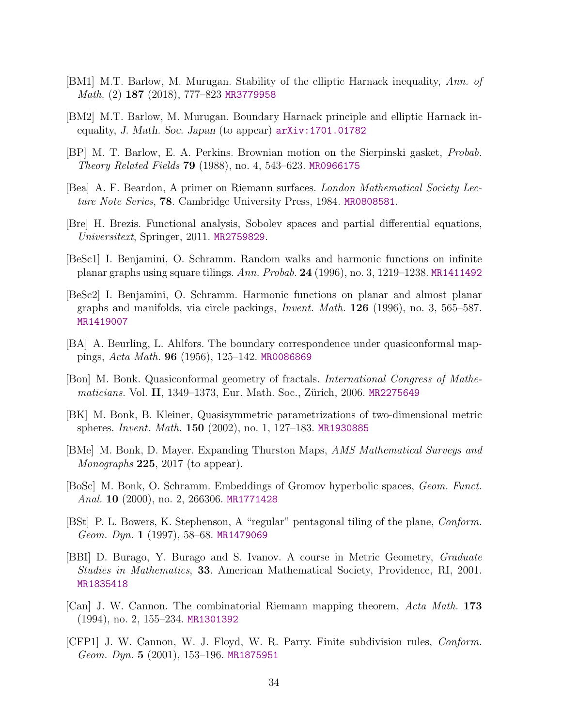- <span id="page-33-5"></span>[BM1] M.T. Barlow, M. Murugan. Stability of the elliptic Harnack inequality, Ann. of Math. (2) 187 (2018), 777–823 [MR3779958](http://www.ams.org/mathscinet-getitem?mr=3779958)
- <span id="page-33-11"></span>[BM2] M.T. Barlow, M. Murugan. Boundary Harnack principle and elliptic Harnack inequality, J. Math. Soc. Japan (to appear) [arXiv:1701.01782](http://arxiv.org/abs/1701.01782)
- <span id="page-33-8"></span>[BP] M. T. Barlow, E. A. Perkins. Brownian motion on the Sierpinski gasket, Probab. Theory Related Fields 79 (1988), no. 4, 543–623. [MR0966175](http://www.ams.org/mathscinet-getitem?mr=0966175)
- <span id="page-33-12"></span>[Bea] A. F. Beardon, A primer on Riemann surfaces. London Mathematical Society Lecture Note Series, 78. Cambridge University Press, 1984. [MR0808581](http://www.ams.org/mathscinet-getitem?mr=0808581).
- <span id="page-33-10"></span>[Bre] H. Brezis. Functional analysis, Sobolev spaces and partial differential equations, Universitext, Springer, 2011. [MR2759829](http://www.ams.org/mathscinet-getitem?mr=2759829).
- <span id="page-33-6"></span>[BeSc1] I. Benjamini, O. Schramm. Random walks and harmonic functions on infinite planar graphs using square tilings. Ann. Probab. 24 (1996), no. 3, 1219–1238. [MR1411492](http://www.ams.org/mathscinet-getitem?mr=1411492)
- <span id="page-33-7"></span>[BeSc2] I. Benjamini, O. Schramm. Harmonic functions on planar and almost planar graphs and manifolds, via circle packings, Invent. Math. 126 (1996), no. 3, 565–587. [MR1419007](http://www.ams.org/mathscinet-getitem?mr=1419007)
- <span id="page-33-0"></span>[BA] A. Beurling, L. Ahlfors. The boundary correspondence under quasiconformal mappings, Acta Math. 96 (1956), 125–142. [MR0086869](http://www.ams.org/mathscinet-getitem?mr=0086869)
- <span id="page-33-1"></span>[Bon] M. Bonk. Quasiconformal geometry of fractals. International Congress of Mathe-maticians. Vol. II, 1349–1373, Eur. Math. Soc., Zürich, 2006. [MR2275649](http://www.ams.org/mathscinet-getitem?mr=2275649)
- <span id="page-33-3"></span>[BK] M. Bonk, B. Kleiner, Quasisymmetric parametrizations of two-dimensional metric spheres. Invent. Math. 150 (2002), no. 1, 127–183. [MR1930885](http://www.ams.org/mathscinet-getitem?mr=1930885)
- <span id="page-33-15"></span>[BMe] M. Bonk, D. Mayer. Expanding Thurston Maps, AMS Mathematical Surveys and Monographs 225, 2017 (to appear).
- <span id="page-33-2"></span>[BoSc] M. Bonk, O. Schramm. Embeddings of Gromov hyperbolic spaces, Geom. Funct. Anal. 10 (2000), no. 2, 266306. [MR1771428](http://www.ams.org/mathscinet-getitem?mr=1771428)
- <span id="page-33-14"></span>[BSt] P. L. Bowers, K. Stephenson, A "regular" pentagonal tiling of the plane, Conform. Geom. Dyn. 1 (1997), 58–68. [MR1479069](http://www.ams.org/mathscinet-getitem?mr=1479069)
- <span id="page-33-9"></span>[BBI] D. Burago, Y. Burago and S. Ivanov. A course in Metric Geometry, Graduate Studies in Mathematics, 33. American Mathematical Society, Providence, RI, 2001. [MR1835418](http://www.ams.org/mathscinet-getitem?mr=1835418)
- <span id="page-33-4"></span> $|Can|$  J. W. Cannon. The combinatorial Riemann mapping theorem, Acta Math. 173 (1994), no. 2, 155–234. [MR1301392](http://www.ams.org/mathscinet-getitem?mr=1301392)
- <span id="page-33-13"></span>[CFP1] J. W. Cannon, W. J. Floyd, W. R. Parry. Finite subdivision rules, Conform. Geom. Dyn. 5 (2001), 153–196. [MR1875951](http://www.ams.org/mathscinet-getitem?mr=1875951)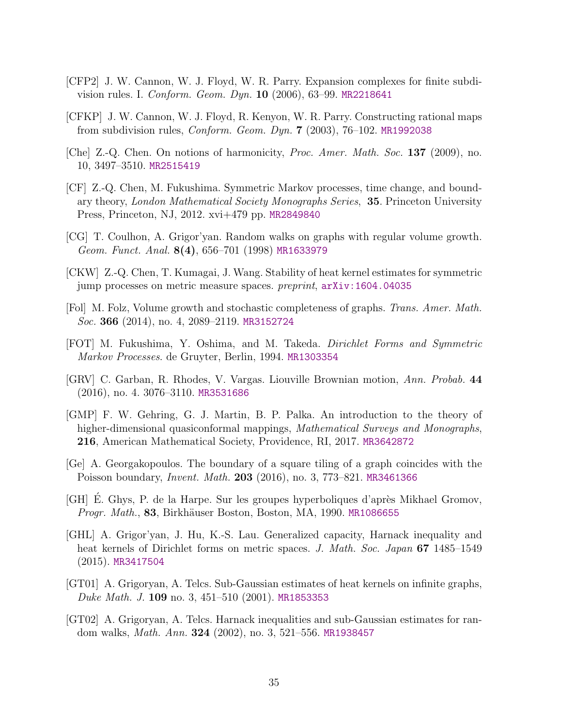- <span id="page-34-3"></span>[CFP2] J. W. Cannon, W. J. Floyd, W. R. Parry. Expansion complexes for finite subdivision rules. I. Conform. Geom. Dyn. 10 (2006), 63–99. [MR2218641](http://www.ams.org/mathscinet-getitem?mr=2218641)
- <span id="page-34-9"></span>[CFKP] J. W. Cannon, W. J. Floyd, R. Kenyon, W. R. Parry. Constructing rational maps from subdivision rules, Conform. Geom. Dyn. 7 (2003), 76–102. [MR1992038](http://www.ams.org/mathscinet-getitem?mr=1992038)
- <span id="page-34-7"></span>[Che] Z.-Q. Chen. On notions of harmonicity, Proc. Amer. Math. Soc. 137 (2009), no. 10, 3497–3510. [MR2515419](http://www.ams.org/mathscinet-getitem?mr=2515419)
- <span id="page-34-5"></span>[CF] Z.-Q. Chen, M. Fukushima. Symmetric Markov processes, time change, and boundary theory, London Mathematical Society Monographs Series, 35. Princeton University Press, Princeton, NJ, 2012. xvi+479 pp. [MR2849840](http://www.ams.org/mathscinet-getitem?mr=2849840)
- [CG] T. Coulhon, A. Grigor'yan. Random walks on graphs with regular volume growth. Geom. Funct. Anal. 8(4), 656–701 (1998) [MR1633979](http://www.ams.org/mathscinet-getitem?mr=1633979)
- [CKW] Z.-Q. Chen, T. Kumagai, J. Wang. Stability of heat kernel estimates for symmetric jump processes on metric measure spaces. preprint, [arXiv:1604.04035](http://arxiv.org/abs/1604.04035)
- <span id="page-34-6"></span>[Fol] M. Folz, Volume growth and stochastic completeness of graphs. Trans. Amer. Math. Soc. 366 (2014), no. 4, 2089–2119. [MR3152724](http://www.ams.org/mathscinet-getitem?mr=3152724)
- <span id="page-34-4"></span>[FOT] M. Fukushima, Y. Oshima, and M. Takeda. Dirichlet Forms and Symmetric Markov Processes. de Gruyter, Berlin, 1994. [MR1303354](http://www.ams.org/mathscinet-getitem?mr=1303354)
- <span id="page-34-10"></span>[GRV] C. Garban, R. Rhodes, V. Vargas. Liouville Brownian motion, Ann. Probab. 44 (2016), no. 4. 3076–3110. [MR3531686](http://www.ams.org/mathscinet-getitem?mr=3531686)
- <span id="page-34-0"></span>[GMP] F. W. Gehring, G. J. Martin, B. P. Palka. An introduction to the theory of higher-dimensional quasiconformal mappings, *Mathematical Surveys and Monographs*, 216, American Mathematical Society, Providence, RI, 2017. [MR3642872](http://www.ams.org/mathscinet-getitem?mr=3642872)
- <span id="page-34-2"></span>[Ge] A. Georgakopoulos. The boundary of a square tiling of a graph coincides with the Poisson boundary, Invent. Math. 203 (2016), no. 3, 773–821. [MR3461366](http://www.ams.org/mathscinet-getitem?mr=3461366)
- <span id="page-34-1"></span>[GH] E. Ghys, P. de la Harpe. Sur les groupes hyperboliques d'apr`es Mikhael Gromov, ´ Progr. Math., 83, Birkhäuser Boston, Boston, MA, 1990. [MR1086655](http://www.ams.org/mathscinet-getitem?mr=1086655)
- <span id="page-34-8"></span>[GHL] A. Grigor'yan, J. Hu, K.-S. Lau. Generalized capacity, Harnack inequality and heat kernels of Dirichlet forms on metric spaces. J. Math. Soc. Japan 67 1485–1549 (2015). [MR3417504](http://www.ams.org/mathscinet-getitem?mr=3417504)
- [GT01] A. Grigoryan, A. Telcs. Sub-Gaussian estimates of heat kernels on infinite graphs, Duke Math. J. 109 no. 3, 451–510 (2001). [MR1853353](http://www.ams.org/mathscinet-getitem?mr=1853353)
- [GT02] A. Grigoryan, A. Telcs. Harnack inequalities and sub-Gaussian estimates for random walks, Math. Ann. 324 (2002), no. 3, 521–556. [MR1938457](http://www.ams.org/mathscinet-getitem?mr=1938457)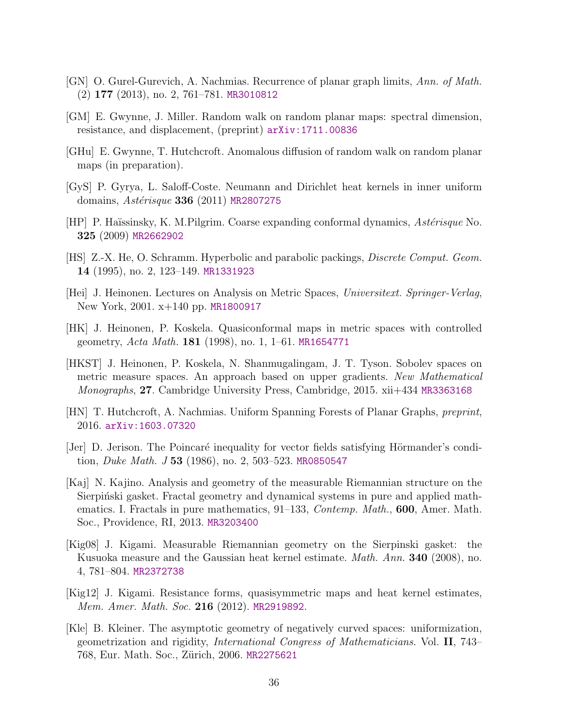- <span id="page-35-2"></span>[GN] O. Gurel-Gurevich, A. Nachmias. Recurrence of planar graph limits, Ann. of Math. (2) 177 (2013), no. 2, 761–781. [MR3010812](http://www.ams.org/mathscinet-getitem?mr=3010812)
- <span id="page-35-4"></span>[GM] E. Gwynne, J. Miller. Random walk on random planar maps: spectral dimension, resistance, and displacement, (preprint) [arXiv:1711.00836](http://arxiv.org/abs/1711.00836)
- <span id="page-35-5"></span>[GHu] E. Gwynne, T. Hutchcroft. Anomalous diffusion of random walk on random planar maps (in preparation).
- <span id="page-35-13"></span>[GyS] P. Gyrya, L. Saloff-Coste. Neumann and Dirichlet heat kernels in inner uniform domains,  $Ast\acute{e}risque$  336 (2011) [MR2807275](http://www.ams.org/mathscinet-getitem?mr=2807275)
- [HP] P. Haïssinsky, K. M. Pilgrim. Coarse expanding conformal dynamics, Astérisque No. 325 (2009) [MR2662902](http://www.ams.org/mathscinet-getitem?mr=2662902)
- <span id="page-35-10"></span>[HS] Z.-X. He, O. Schramm. Hyperbolic and parabolic packings, Discrete Comput. Geom. 14 (1995), no. 2, 123–149. [MR1331923](http://www.ams.org/mathscinet-getitem?mr=1331923)
- <span id="page-35-0"></span>[Hei] J. Heinonen. Lectures on Analysis on Metric Spaces, Universitext. Springer-Verlag, New York, 2001. x+140 pp. [MR1800917](http://www.ams.org/mathscinet-getitem?mr=1800917)
- <span id="page-35-8"></span>[HK] J. Heinonen, P. Koskela. Quasiconformal maps in metric spaces with controlled geometry, Acta Math. 181 (1998), no. 1, 1–61. [MR1654771](http://www.ams.org/mathscinet-getitem?mr=1654771)
- <span id="page-35-9"></span>[HKST] J. Heinonen, P. Koskela, N. Shanmugalingam, J. T. Tyson. Sobolev spaces on metric measure spaces. An approach based on upper gradients. New Mathematical Monographs, 27. Cambridge University Press, Cambridge, 2015. xii+434 [MR3363168](http://www.ams.org/mathscinet-getitem?mr=3363168)
- <span id="page-35-11"></span>[HN] T. Hutchcroft, A. Nachmias. Uniform Spanning Forests of Planar Graphs, preprint, 2016. [arXiv:1603.07320](http://arxiv.org/abs/1603.07320)
- <span id="page-35-12"></span>[Jer] D. Jerison. The Poincaré inequality for vector fields satisfying Hörmander's condition, *Duke Math.* J 53 (1986), no. 2, 503–523. [MR0850547](http://www.ams.org/mathscinet-getitem?mr=0850547)
- <span id="page-35-7"></span>[Kaj] N. Kajino. Analysis and geometry of the measurable Riemannian structure on the Sierpiński gasket. Fractal geometry and dynamical systems in pure and applied mathematics. I. Fractals in pure mathematics, 91–133, Contemp. Math., 600, Amer. Math. Soc., Providence, RI, 2013. [MR3203400](http://www.ams.org/mathscinet-getitem?mr=3203400)
- <span id="page-35-6"></span>[Kig08] J. Kigami. Measurable Riemannian geometry on the Sierpinski gasket: the Kusuoka measure and the Gaussian heat kernel estimate. Math. Ann. 340 (2008), no. 4, 781–804. [MR2372738](http://www.ams.org/mathscinet-getitem?mr=2372738)
- <span id="page-35-3"></span>[Kig12] J. Kigami. Resistance forms, quasisymmetric maps and heat kernel estimates, Mem. Amer. Math. Soc. 216 (2012). [MR2919892](http://www.ams.org/mathscinet-getitem?mr=2919892).
- <span id="page-35-1"></span>[Kle] B. Kleiner. The asymptotic geometry of negatively curved spaces: uniformization, geometrization and rigidity, International Congress of Mathematicians. Vol. II, 743– 768, Eur. Math. Soc., Zürich, 2006. [MR2275621](http://www.ams.org/mathscinet-getitem?mr=2275621)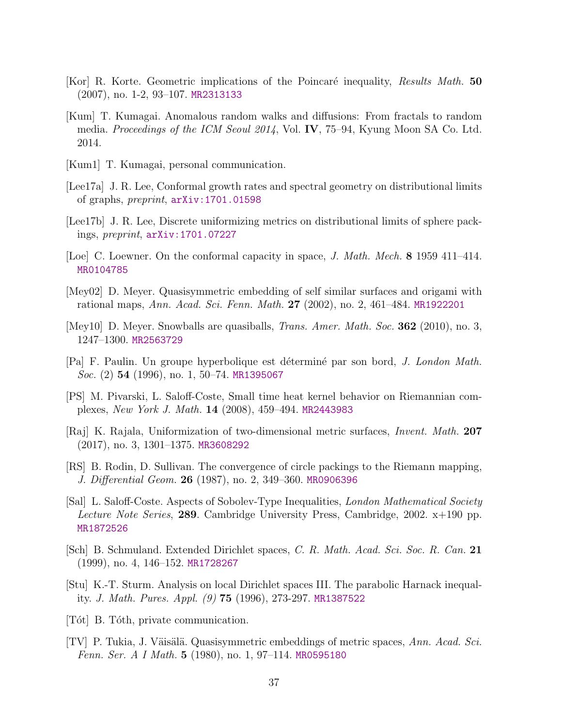- <span id="page-36-8"></span>[Kor] R. Korte. Geometric implications of the Poincaré inequality, Results Math.  $50$ (2007), no. 1-2, 93–107. [MR2313133](http://www.ams.org/mathscinet-getitem?mr=2313133)
- <span id="page-36-12"></span>[Kum] T. Kumagai. Anomalous random walks and diffusions: From fractals to random media. Proceedings of the ICM Seoul 2014, Vol. IV, 75–94, Kyung Moon SA Co. Ltd. 2014.
- [Kum1] T. Kumagai, personal communication.
- <span id="page-36-3"></span>[Lee17a] J. R. Lee, Conformal growth rates and spectral geometry on distributional limits of graphs, preprint, [arXiv:1701.01598](http://arxiv.org/abs/1701.01598)
- <span id="page-36-4"></span>[Lee17b] J. R. Lee, Discrete uniformizing metrics on distributional limits of sphere packings, preprint, [arXiv:1701.07227](http://arxiv.org/abs/1701.07227)
- <span id="page-36-9"></span>[Loe] C. Loewner. On the conformal capacity in space, J. Math. Mech. **8** 1959 411–414. [MR0104785](http://www.ams.org/mathscinet-getitem?mr=0104785)
- <span id="page-36-13"></span>[Mey02] D. Meyer. Quasisymmetric embedding of self similar surfaces and origami with rational maps, Ann. Acad. Sci. Fenn. Math. 27 (2002), no. 2, 461–484. [MR1922201](http://www.ams.org/mathscinet-getitem?mr=1922201)
- <span id="page-36-14"></span>[Mey10] D. Meyer. Snowballs are quasiballs, *Trans. Amer. Math. Soc.* **362** (2010), no. 3, 1247–1300. [MR2563729](http://www.ams.org/mathscinet-getitem?mr=2563729)
- <span id="page-36-1"></span>[Pa] F. Paulin. Un groupe hyperbolique est déterminé par son bord, *J. London Math.* Soc. (2)  $54$  (1996), no. 1, 50–74. [MR1395067](http://www.ams.org/mathscinet-getitem?mr=1395067)
- <span id="page-36-6"></span>[PS] M. Pivarski, L. Saloff-Coste, Small time heat kernel behavior on Riemannian complexes, New York J. Math. 14 (2008), 459–494. [MR2443983](http://www.ams.org/mathscinet-getitem?mr=2443983)
- <span id="page-36-2"></span>[Raj] K. Rajala, Uniformization of two-dimensional metric surfaces, Invent. Math. 207 (2017), no. 3, 1301–1375. [MR3608292](http://www.ams.org/mathscinet-getitem?mr=3608292)
- <span id="page-36-7"></span>[RS] B. Rodin, D. Sullivan. The convergence of circle packings to the Riemann mapping, J. Differential Geom. 26 (1987), no. 2, 349–360. [MR0906396](http://www.ams.org/mathscinet-getitem?mr=0906396)
- <span id="page-36-10"></span>[Sal] L. Saloff-Coste. Aspects of Sobolev-Type Inequalities, London Mathematical Society Lecture Note Series, 289. Cambridge University Press, Cambridge, 2002. x+190 pp. [MR1872526](http://www.ams.org/mathscinet-getitem?mr=1872526)
- <span id="page-36-5"></span>[Sch] B. Schmuland. Extended Dirichlet spaces, C. R. Math. Acad. Sci. Soc. R. Can. 21 (1999), no. 4, 146–152. [MR1728267](http://www.ams.org/mathscinet-getitem?mr=1728267)
- <span id="page-36-11"></span>[Stu] K.-T. Sturm. Analysis on local Dirichlet spaces III. The parabolic Harnack inequality. J. Math. Pures. Appl. (9) 75 (1996), 273-297. [MR1387522](http://www.ams.org/mathscinet-getitem?mr=1387522)
- <span id="page-36-15"></span>[Tot] B. Toth, private communication.
- <span id="page-36-0"></span>[TV] P. Tukia, J. Väisälä. Quasisymmetric embeddings of metric spaces, Ann. Acad. Sci. Fenn. Ser. A I Math. 5 (1980), no. 1, 97–114. [MR0595180](http://www.ams.org/mathscinet-getitem?mr=0595180)